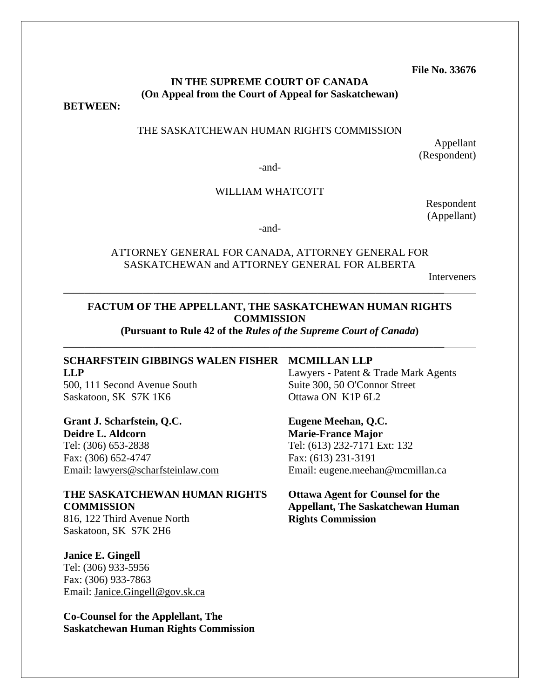**File No. 33676** 

## **IN THE SUPREME COURT OF CANADA (On Appeal from the Court of Appeal for Saskatchewan)**

**BETWEEN:** 

#### THE SASKATCHEWAN HUMAN RIGHTS COMMISSION

Appellant (Respondent)

-and-

#### WILLIAM WHATCOTT

Respondent (Appellant)

-and-

## ATTORNEY GENERAL FOR CANADA, ATTORNEY GENERAL FOR SASKATCHEWAN and ATTORNEY GENERAL FOR ALBERTA

Interveners

# **FACTUM OF THE APPELLANT, THE SASKATCHEWAN HUMAN RIGHTS COMMISSION**

\_\_\_\_\_\_\_\_\_\_\_\_\_\_\_\_\_\_\_\_\_\_\_\_\_\_\_\_\_\_\_\_\_\_\_\_\_\_\_\_\_\_\_\_\_\_\_\_\_\_\_\_\_\_\_\_\_\_\_\_\_\_\_\_\_\_\_\_\_\_\_\_

\_\_\_\_\_\_\_\_\_\_\_\_\_\_\_\_\_\_\_\_\_\_\_\_\_\_\_\_\_\_\_\_\_\_\_\_\_\_\_\_\_\_\_\_\_\_\_\_\_\_\_\_\_\_\_\_\_\_\_\_\_\_\_\_\_\_\_\_\_\_\_\_

### **(Pursuant to Rule 42 of the** *Rules of the Supreme Court of Canada***)**

#### **SCHARFSTEIN GIBBINGS WALEN FISHER MCMILLAN LLP LLP**

500, 111 Second Avenue South Saskatoon, SK S7K 1K6

**Grant J. Scharfstein, Q.C. Deidre L. Aldcorn**  Tel: (306) 653-2838

Fax: (306) 652-4747 Email: lawyers@scharfsteinlaw.com

# **THE SASKATCHEWAN HUMAN RIGHTS COMMISSION**

816, 122 Third Avenue North Saskatoon, SK S7K 2H6

### **Janice E. Gingell**

Tel: (306) 933-5956 Fax: (306) 933-7863 Email: Janice.Gingell@gov.sk.ca

**Co-Counsel for the Applellant, The Saskatchewan Human Rights Commission**  Lawyers - Patent & Trade Mark Agents Suite 300, 50 O'Connor Street Ottawa ON K1P 6L2

**Eugene Meehan, Q.C. Marie-France Major**  Tel: (613) 232-7171 Ext: 132 Fax: (613) 231-3191 Email: eugene.meehan@mcmillan.ca

# **Ottawa Agent for Counsel for the Appellant, The Saskatchewan Human Rights Commission**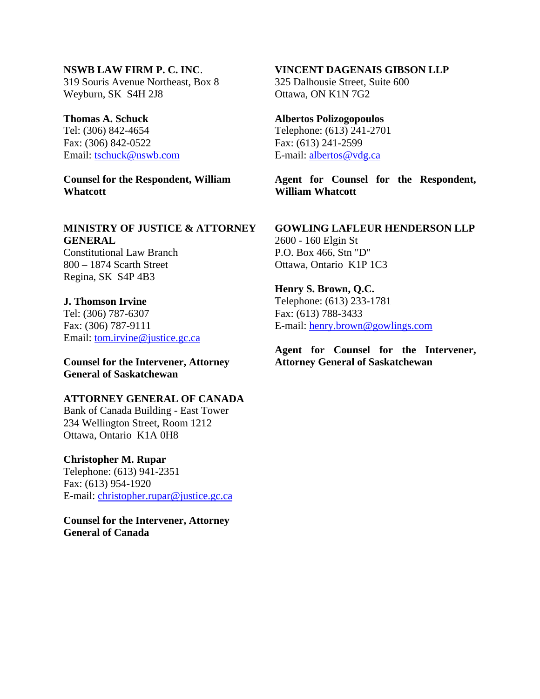#### **NSWB LAW FIRM P. C. INC**.

319 Souris Avenue Northeast, Box 8 Weyburn, SK S4H 2J8

### **Thomas A. Schuck**

Tel: (306) 842-4654 Fax: (306) 842-0522 Email: [tschuck@nswb.com](mailto:tschuck@nswb.com)

### **Counsel for the Respondent, William Whatcott**

# **MINISTRY OF JUSTICE & ATTORNEY GENERAL**

Constitutional Law Branch 800 – 1874 Scarth Street Regina, SK S4P 4B3

### **J. Thomson Irvine**

Tel: (306) 787-6307 Fax: (306) 787-9111 Email: [tom.irvine@justice.gc.ca](mailto:tom.irvine@justice.gc.ca)

**Counsel for the Intervener, Attorney General of Saskatchewan** 

## **ATTORNEY GENERAL OF CANADA**

Bank of Canada Building - East Tower 234 Wellington Street, Room 1212 Ottawa, Ontario K1A 0H8

#### **Christopher M. Rupar**

Telephone: (613) 941-2351 Fax: (613) 954-1920 E-mail: [christopher.rupar@justice.gc.ca](mailto:christopher.rupar@justice.gc.ca)

**Counsel for the Intervener, Attorney General of Canada** 

#### **VINCENT DAGENAIS GIBSON LLP**

325 Dalhousie Street, Suite 600 Ottawa, ON K1N 7G2

#### **Albertos Polizogopoulos**

Telephone: (613) 241-2701 Fax: (613) 241-2599 E-mail: [albertos@vdg.ca](mailto:albertos@vdg.ca)

**Agent for Counsel for the Respondent, William Whatcott** 

# **GOWLING LAFLEUR HENDERSON LLP**

2600 - 160 Elgin St P.O. Box 466, Stn "D" Ottawa, Ontario K1P 1C3

**Henry S. Brown, Q.C.**  Telephone: (613) 233-1781 Fax: (613) 788-3433 E-mail: [henry.brown@gowlings.com](mailto:henry.brown@gowlings.com)

## **Agent for Counsel for the Intervener, Attorney General of Saskatchewan**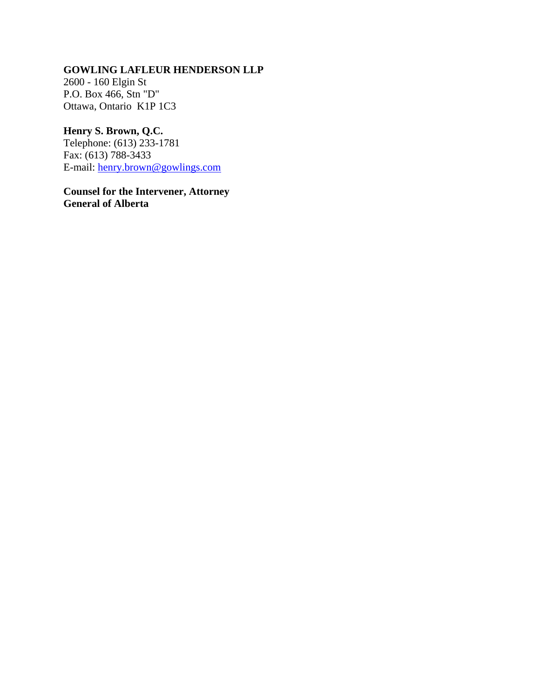# **GOWLING LAFLEUR HENDERSON LLP**

2600 - 160 Elgin St P.O. Box 466, Stn "D" Ottawa, Ontario K1P 1C3

# **Henry S. Brown, Q.C.**

Telephone: (613) 233-1781 Fax: (613) 788-3433 E-mail: [henry.brown@gowlings.com](mailto:henry.brown@gowlings.com)

**Counsel for the Intervener, Attorney General of Alberta**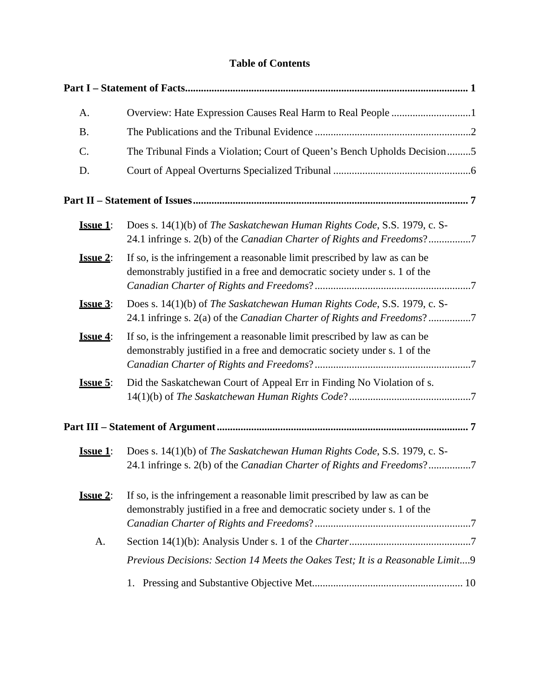# **Table of Contents**

| A.              | Overview: Hate Expression Causes Real Harm to Real People 1                                                                                                |  |
|-----------------|------------------------------------------------------------------------------------------------------------------------------------------------------------|--|
| <b>B.</b>       |                                                                                                                                                            |  |
| $C$ .           | The Tribunal Finds a Violation; Court of Queen's Bench Upholds Decision5                                                                                   |  |
| D.              |                                                                                                                                                            |  |
|                 |                                                                                                                                                            |  |
| <b>Issue 1:</b> | Does s. 14(1)(b) of The Saskatchewan Human Rights Code, S.S. 1979, c. S-<br>24.1 infringe s. 2(b) of the Canadian Charter of Rights and Freedoms?7         |  |
| <b>Issue 2:</b> | If so, is the infringement a reasonable limit prescribed by law as can be<br>demonstrably justified in a free and democratic society under s. 1 of the     |  |
| $Issue 3:$      | Does s. 14(1)(b) of The Saskatchewan Human Rights Code, S.S. 1979, c. S-<br>24.1 infringe s. 2(a) of the <i>Canadian Charter of Rights and Freedoms</i> ?7 |  |
| <b>Issue 4:</b> | If so, is the infringement a reasonable limit prescribed by law as can be<br>demonstrably justified in a free and democratic society under s. 1 of the     |  |
| $Issue 5:$      | Did the Saskatchewan Court of Appeal Err in Finding No Violation of s.                                                                                     |  |
|                 |                                                                                                                                                            |  |
| <b>Issue 1:</b> | Does s. 14(1)(b) of The Saskatchewan Human Rights Code, S.S. 1979, c. S-<br>24.1 infringe s. 2(b) of the Canadian Charter of Rights and Freedoms?7         |  |
| $Issue 2$       | If so, is the infringement a reasonable limit prescribed by law as can be<br>demonstrably justified in a free and democratic society under s. 1 of the     |  |
| A.              |                                                                                                                                                            |  |
|                 | Previous Decisions: Section 14 Meets the Oakes Test; It is a Reasonable Limit9                                                                             |  |
|                 | 1.                                                                                                                                                         |  |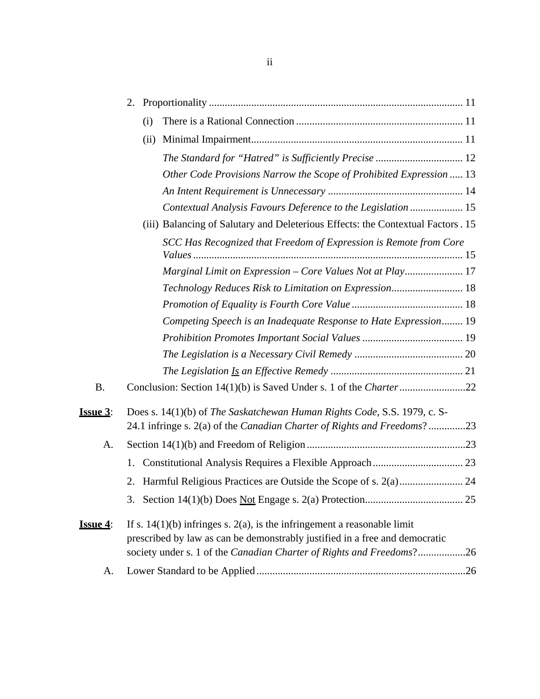|                 | 2. |      |                                                                                                                                                                                                                                      |  |
|-----------------|----|------|--------------------------------------------------------------------------------------------------------------------------------------------------------------------------------------------------------------------------------------|--|
|                 |    | (i)  |                                                                                                                                                                                                                                      |  |
|                 |    | (ii) |                                                                                                                                                                                                                                      |  |
|                 |    |      | The Standard for "Hatred" is Sufficiently Precise  12                                                                                                                                                                                |  |
|                 |    |      | Other Code Provisions Narrow the Scope of Prohibited Expression  13                                                                                                                                                                  |  |
|                 |    |      |                                                                                                                                                                                                                                      |  |
|                 |    |      | Contextual Analysis Favours Deference to the Legislation  15                                                                                                                                                                         |  |
|                 |    |      | (iii) Balancing of Salutary and Deleterious Effects: the Contextual Factors . 15                                                                                                                                                     |  |
|                 |    |      | SCC Has Recognized that Freedom of Expression is Remote from Core                                                                                                                                                                    |  |
|                 |    |      | Marginal Limit on Expression - Core Values Not at Play 17                                                                                                                                                                            |  |
|                 |    |      | Technology Reduces Risk to Limitation on Expression 18                                                                                                                                                                               |  |
|                 |    |      |                                                                                                                                                                                                                                      |  |
|                 |    |      | Competing Speech is an Inadequate Response to Hate Expression 19                                                                                                                                                                     |  |
|                 |    |      |                                                                                                                                                                                                                                      |  |
|                 |    |      |                                                                                                                                                                                                                                      |  |
|                 |    |      |                                                                                                                                                                                                                                      |  |
| <b>B.</b>       |    |      |                                                                                                                                                                                                                                      |  |
| <b>Issue 3:</b> |    |      | Does s. 14(1)(b) of The Saskatchewan Human Rights Code, S.S. 1979, c. S-<br>24.1 infringe s. 2(a) of the Canadian Charter of Rights and Freedoms?23                                                                                  |  |
| А.              |    |      |                                                                                                                                                                                                                                      |  |
|                 |    |      |                                                                                                                                                                                                                                      |  |
|                 | 2. |      |                                                                                                                                                                                                                                      |  |
|                 |    |      |                                                                                                                                                                                                                                      |  |
| <u>Issue 4:</u> |    |      | If s. $14(1)(b)$ infringes s. $2(a)$ , is the infringement a reasonable limit<br>prescribed by law as can be demonstrably justified in a free and democratic<br>society under s. 1 of the Canadian Charter of Rights and Freedoms?26 |  |
| A.              |    |      |                                                                                                                                                                                                                                      |  |
|                 |    |      |                                                                                                                                                                                                                                      |  |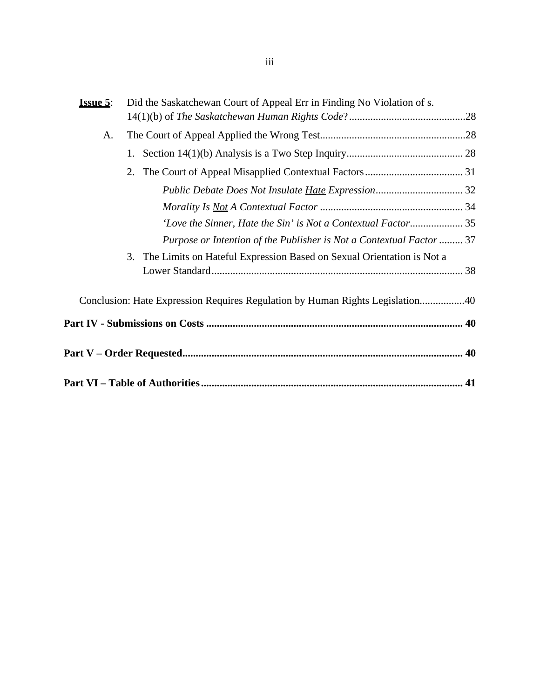| <b>Issue 5:</b> | Did the Saskatchewan Court of Appeal Err in Finding No Violation of s.        |  |
|-----------------|-------------------------------------------------------------------------------|--|
|                 |                                                                               |  |
| A.              |                                                                               |  |
|                 |                                                                               |  |
|                 |                                                                               |  |
|                 |                                                                               |  |
|                 |                                                                               |  |
|                 |                                                                               |  |
|                 | Purpose or Intention of the Publisher is Not a Contextual Factor  37          |  |
|                 | 3. The Limits on Hateful Expression Based on Sexual Orientation is Not a      |  |
|                 | Conclusion: Hate Expression Requires Regulation by Human Rights Legislation40 |  |
|                 |                                                                               |  |
|                 |                                                                               |  |
|                 |                                                                               |  |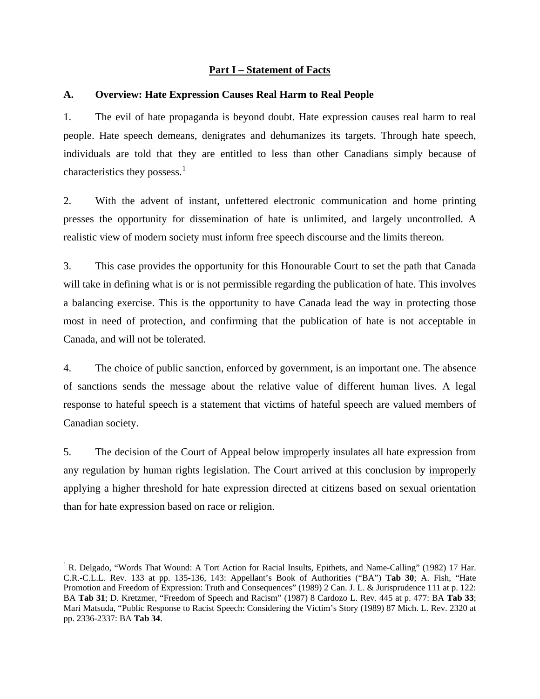### **Part I – Statement of Facts**

### <span id="page-6-1"></span><span id="page-6-0"></span>**A. Overview: Hate Expression Causes Real Harm to Real People**

1. The evil of hate propaganda is beyond doubt. Hate expression causes real harm to real people. Hate speech demeans, denigrates and dehumanizes its targets. Through hate speech, individuals are told that they are entitled to less than other Canadians simply because of characteristics they possess. $<sup>1</sup>$  $<sup>1</sup>$  $<sup>1</sup>$ </sup>

2. With the advent of instant, unfettered electronic communication and home printing presses the opportunity for dissemination of hate is unlimited, and largely uncontrolled. A realistic view of modern society must inform free speech discourse and the limits thereon.

3. This case provides the opportunity for this Honourable Court to set the path that Canada will take in defining what is or is not permissible regarding the publication of hate. This involves a balancing exercise. This is the opportunity to have Canada lead the way in protecting those most in need of protection, and confirming that the publication of hate is not acceptable in Canada, and will not be tolerated.

4. The choice of public sanction, enforced by government, is an important one. The absence of sanctions sends the message about the relative value of different human lives. A legal response to hateful speech is a statement that victims of hateful speech are valued members of Canadian society.

5. The decision of the Court of Appeal below improperly insulates all hate expression from any regulation by human rights legislation. The Court arrived at this conclusion by improperly applying a higher threshold for hate expression directed at citizens based on sexual orientation than for hate expression based on race or religion.

<span id="page-6-2"></span><sup>&</sup>lt;sup>1</sup> R. Delgado, "Words That Wound: A Tort Action for Racial Insults, Epithets, and Name-Calling" (1982) 17 Har. C.R.-C.L.L. Rev. 133 at pp. 135-136, 143: Appellant's Book of Authorities ("BA") **Tab 30**; A. Fish, "Hate Promotion and Freedom of Expression: Truth and Consequences" (1989) 2 Can. J. L. & Jurisprudence 111 at p. 122: BA **Tab 31**; D. Kretzmer, "Freedom of Speech and Racism" (1987) 8 Cardozo L. Rev. 445 at p. 477: BA **Tab 33**; Mari Matsuda, "Public Response to Racist Speech: Considering the Victim's Story (1989) 87 Mich. L. Rev. 2320 at pp. 2336-2337: BA **Tab 34**.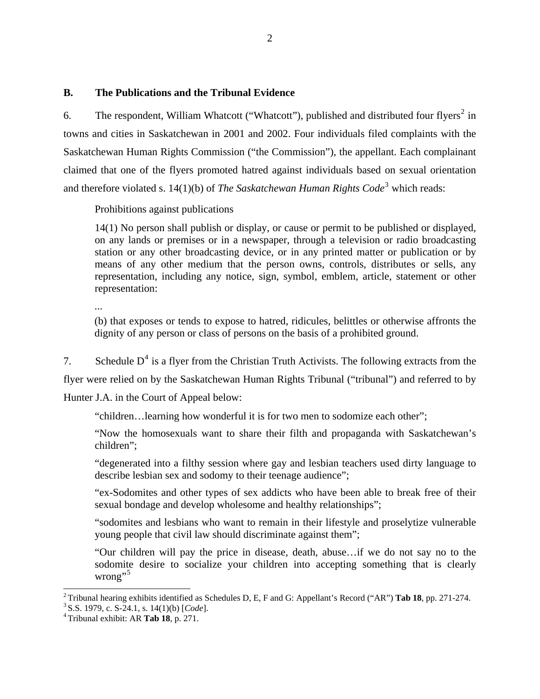### <span id="page-7-0"></span>**B. The Publications and the Tribunal Evidence**

6. The respondent, William Whatcott ("Whatcott"), published and distributed four flyers<sup>[2](#page-7-1)</sup> in towns and cities in Saskatchewan in 2001 and 2002. Four individuals filed complaints with the Saskatchewan Human Rights Commission ("the Commission"), the appellant. Each complainant claimed that one of the flyers promoted hatred against individuals based on sexual orientation and therefore violated s. 14(1)(b) of *The Saskatchewan Human Rights Code*<sup>[3](#page-7-2)</sup> which reads:

Prohibitions against publications

14(1) No person shall publish or display, or cause or permit to be published or displayed, on any lands or premises or in a newspaper, through a television or radio broadcasting station or any other broadcasting device, or in any printed matter or publication or by means of any other medium that the person owns, controls, distributes or sells, any representation, including any notice, sign, symbol, emblem, article, statement or other representation:

...

(b) that exposes or tends to expose to hatred, ridicules, belittles or otherwise affronts the dignity of any person or class of persons on the basis of a prohibited ground.

7. Schedule  $D<sup>4</sup>$  $D<sup>4</sup>$  $D<sup>4</sup>$  is a flyer from the Christian Truth Activists. The following extracts from the

flyer were relied on by the Saskatchewan Human Rights Tribunal ("tribunal") and referred to by

Hunter J.A. in the Court of Appeal below:

"children…learning how wonderful it is for two men to sodomize each other";

"Now the homosexuals want to share their filth and propaganda with Saskatchewan's children";

"degenerated into a filthy session where gay and lesbian teachers used dirty language to describe lesbian sex and sodomy to their teenage audience";

"ex-Sodomites and other types of sex addicts who have been able to break free of their sexual bondage and develop wholesome and healthy relationships";

"sodomites and lesbians who want to remain in their lifestyle and proselytize vulnerable young people that civil law should discriminate against them";

"Our children will pay the price in disease, death, abuse…if we do not say no to the sodomite desire to socialize your children into accepting something that is clearly wrong"<sup>[5](#page-7-4)</sup>

<span id="page-7-4"></span><span id="page-7-2"></span><span id="page-7-1"></span><sup>&</sup>lt;sup>2</sup> Tribunal hearing exhibits identified as Schedules D, E, F and G: Appellant's Record ("AR") **Tab 18**, pp. 271-274. <sup>3</sup> S.S. 1979, c. S-24.1, s. 14(1)(b) [*Code*]. <sup>4</sup> Tribunal exhibit: AR **Tab 18**, p. 271.

<span id="page-7-3"></span>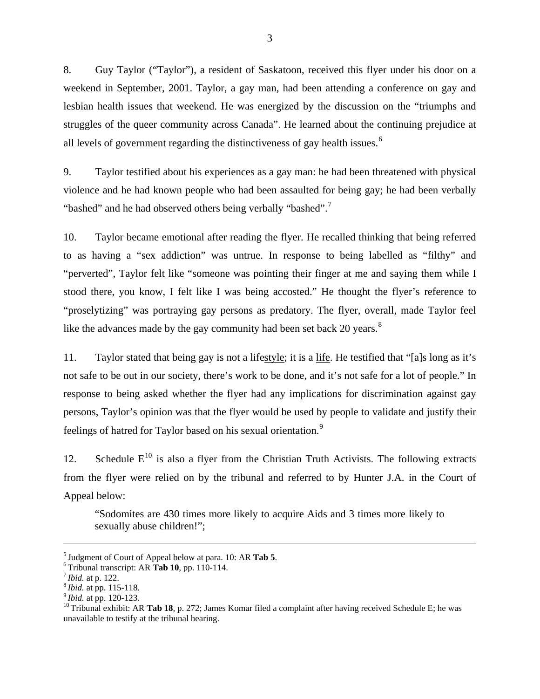8. Guy Taylor ("Taylor"), a resident of Saskatoon, received this flyer under his door on a weekend in September, 2001. Taylor, a gay man, had been attending a conference on gay and lesbian health issues that weekend. He was energized by the discussion on the "triumphs and struggles of the queer community across Canada". He learned about the continuing prejudice at all levels of government regarding the distinctiveness of gay health issues.<sup>[6](#page-8-0)</sup>

9. Taylor testified about his experiences as a gay man: he had been threatened with physical violence and he had known people who had been assaulted for being gay; he had been verbally "bashed" and he had observed others being verbally "bashed".<sup>[7](#page-8-1)</sup>

10. Taylor became emotional after reading the flyer. He recalled thinking that being referred to as having a "sex addiction" was untrue. In response to being labelled as "filthy" and "perverted", Taylor felt like "someone was pointing their finger at me and saying them while I stood there, you know, I felt like I was being accosted." He thought the flyer's reference to "proselytizing" was portraying gay persons as predatory. The flyer, overall, made Taylor feel like the advances made by the gay community had been set back 20 years. $8$ 

11. Taylor stated that being gay is not a lifestyle; it is a life. He testified that "[a]s long as it's not safe to be out in our society, there's work to be done, and it's not safe for a lot of people." In response to being asked whether the flyer had any implications for discrimination against gay persons, Taylor's opinion was that the flyer would be used by people to validate and justify their feelings of hatred for Taylor based on his sexual orientation.<sup>[9](#page-8-3)</sup>

12. Schedule  $E^{10}$  $E^{10}$  $E^{10}$  is also a flyer from the Christian Truth Activists. The following extracts from the flyer were relied on by the tribunal and referred to by Hunter J.A. in the Court of Appeal below:

"Sodomites are 430 times more likely to acquire Aids and 3 times more likely to sexually abuse children!";

l

<span id="page-8-0"></span>

<span id="page-8-1"></span>

<span id="page-8-2"></span>

<span id="page-8-4"></span><span id="page-8-3"></span>

<sup>&</sup>lt;sup>5</sup> Judgment of Court of Appeal below at para. 10: AR **Tab 5**.<br>
<sup>6</sup> Tribunal transcript: AR **Tab 10**, pp. 110-114.<br>
<sup>7</sup> *Ibid.* at p. 122.<br>
<sup>8</sup> *Ibid.* at pp. 115-118.<br>
<sup>9</sup> *Ibid.* at pp. 120-123.<br>
<sup>10</sup> Tribunal exhibit: unavailable to testify at the tribunal hearing.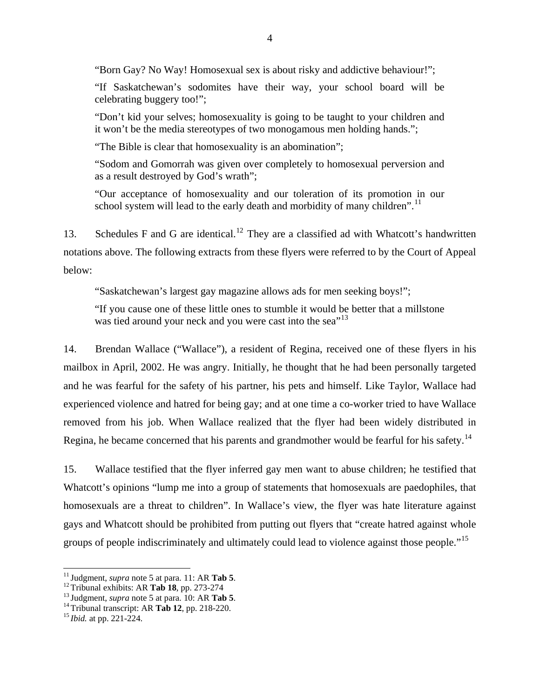"Born Gay? No Way! Homosexual sex is about risky and addictive behaviour!";

"If Saskatchewan's sodomites have their way, your school board will be celebrating buggery too!";

"Don't kid your selves; homosexuality is going to be taught to your children and it won't be the media stereotypes of two monogamous men holding hands.";

"The Bible is clear that homosexuality is an abomination";

"Sodom and Gomorrah was given over completely to homosexual perversion and as a result destroyed by God's wrath";

"Our acceptance of homosexuality and our toleration of its promotion in our school system will lead to the early death and morbidity of many children".<sup>[11](#page-9-0)</sup>

13. Schedules F and G are identical.<sup>[12](#page-9-1)</sup> They are a classified ad with Whatcott's handwritten notations above. The following extracts from these flyers were referred to by the Court of Appeal below:

"Saskatchewan's largest gay magazine allows ads for men seeking boys!";

"If you cause one of these little ones to stumble it would be better that a millstone was tied around your neck and you were cast into the sea<sup>"[13](#page-9-2)</sup>

14. Brendan Wallace ("Wallace"), a resident of Regina, received one of these flyers in his mailbox in April, 2002. He was angry. Initially, he thought that he had been personally targeted and he was fearful for the safety of his partner, his pets and himself. Like Taylor, Wallace had experienced violence and hatred for being gay; and at one time a co-worker tried to have Wallace removed from his job. When Wallace realized that the flyer had been widely distributed in Regina, he became concerned that his parents and grandmother would be fearful for his safety.<sup>[14](#page-9-3)</sup>

15. Wallace testified that the flyer inferred gay men want to abuse children; he testified that Whatcott's opinions "lump me into a group of statements that homosexuals are paedophiles, that homosexuals are a threat to children". In Wallace's view, the flyer was hate literature against gays and Whatcott should be prohibited from putting out flyers that "create hatred against whole groups of people indiscriminately and ultimately could lead to violence against those people."<sup>[15](#page-9-4)</sup>

<span id="page-9-1"></span><span id="page-9-0"></span><sup>&</sup>lt;sup>11</sup> Judgment, *supra* note 5 at para. 11: AR **Tab 5**.<br><sup>12</sup> Tribunal exhibits: AR **Tab 18**, pp. 273-274<br><sup>13</sup> Judgment, *supra* note 5 at para. 10: AR **Tab 5**.<br><sup>14</sup> Tribunal transcript: AR **Tab 12**, pp. 218-220.<br><sup>15</sup> *Ibid* 

<span id="page-9-2"></span>

<span id="page-9-3"></span>

<span id="page-9-4"></span>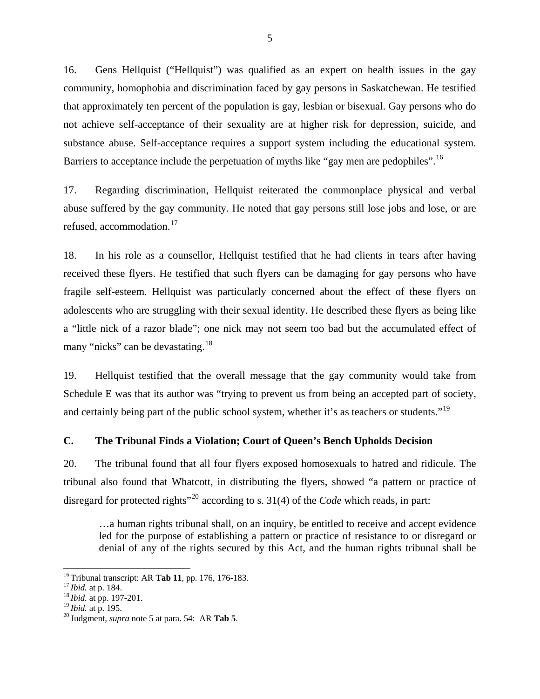16. Gens Hellquist ("Hellquist") was qualified as an expert on health issues in the gay community, homophobia and discrimination faced by gay persons in Saskatchewan. He testified that approximately ten percent of the population is gay, lesbian or bisexual. Gay persons who do not achieve self-acceptance of their sexuality are at higher risk for depression, suicide, and substance abuse. Self-acceptance requires a support system including the educational system. Barriers to acceptance include the perpetuation of myths like "gay men are pedophiles".<sup>[16](#page-10-1)</sup>

17. Regarding discrimination, Hellquist reiterated the commonplace physical and verbal abuse suffered by the gay community. He noted that gay persons still lose jobs and lose, or are refused, accommodation.<sup>[17](#page-10-2)</sup>

18. In his role as a counsellor, Hellquist testified that he had clients in tears after having received these flyers. He testified that such flyers can be damaging for gay persons who have fragile self-esteem. Hellquist was particularly concerned about the effect of these flyers on adolescents who are struggling with their sexual identity. He described these flyers as being like a "little nick of a razor blade"; one nick may not seem too bad but the accumulated effect of many "nicks" can be devastating.<sup>[18](#page-10-3)</sup>

19. Hellquist testified that the overall message that the gay community would take from Schedule E was that its author was "trying to prevent us from being an accepted part of society, and certainly being part of the public school system, whether it's as teachers or students."<sup>[19](#page-10-4)</sup>

### <span id="page-10-0"></span>**C. The Tribunal Finds a Violation; Court of Queen's Bench Upholds Decision**

20. The tribunal found that all four flyers exposed homosexuals to hatred and ridicule. The tribunal also found that Whatcott, in distributing the flyers, showed "a pattern or practice of disregard for protected rights<sup>"[20](#page-10-5)</sup> according to s. 31(4) of the *Code* which reads, in part:

…a human rights tribunal shall, on an inquiry, be entitled to receive and accept evidence led for the purpose of establishing a pattern or practice of resistance to or disregard or denial of any of the rights secured by this Act, and the human rights tribunal shall be

<span id="page-10-2"></span><span id="page-10-1"></span><sup>&</sup>lt;sup>16</sup> Tribunal transcript: AR **Tab 11**, pp. 176, 176-183.<br><sup>17</sup> *Ibid.* at p. 184.<br><sup>18</sup> *Ibid.* at pp. 197-201.<br><sup>19</sup> *Ibid.* at p. 195.

<span id="page-10-3"></span>

<span id="page-10-4"></span>

<span id="page-10-5"></span> $^{20}$  Judgment, *supra* note 5 at para. 54: AR **Tab 5**.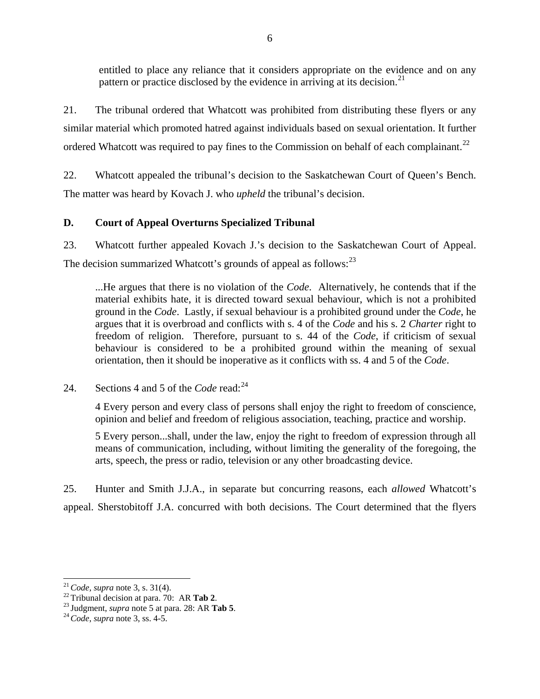entitled to place any reliance that it considers appropriate on the evidence and on any pattern or practice disclosed by the evidence in arriving at its decision.<sup>[21](#page-11-1)</sup>

21. The tribunal ordered that Whatcott was prohibited from distributing these flyers or any similar material which promoted hatred against individuals based on sexual orientation. It further ordered Whatcott was required to pay fines to the Commission on behalf of each complainant.<sup>[22](#page-11-2)</sup>

22. Whatcott appealed the tribunal's decision to the Saskatchewan Court of Queen's Bench. The matter was heard by Kovach J. who *upheld* the tribunal's decision.

# <span id="page-11-0"></span>**D. Court of Appeal Overturns Specialized Tribunal**

23. Whatcott further appealed Kovach J.'s decision to the Saskatchewan Court of Appeal. The decision summarized Whatcott's grounds of appeal as follows:<sup>[23](#page-11-3)</sup>

...He argues that there is no violation of the *Code*. Alternatively, he contends that if the material exhibits hate, it is directed toward sexual behaviour, which is not a prohibited ground in the *Code*. Lastly, if sexual behaviour is a prohibited ground under the *Code*, he argues that it is overbroad and conflicts with s. 4 of the *Code* and his s. 2 *Charter* right to freedom of religion. Therefore, pursuant to s. 44 of the *Code*, if criticism of sexual behaviour is considered to be a prohibited ground within the meaning of sexual orientation, then it should be inoperative as it conflicts with ss. 4 and 5 of the *Code*.

[24](#page-11-4). Sections 4 and 5 of the *Code* read:<sup>24</sup>

4 Every person and every class of persons shall enjoy the right to freedom of conscience, opinion and belief and freedom of religious association, teaching, practice and worship.

5 Every person...shall, under the law, enjoy the right to freedom of expression through all means of communication, including, without limiting the generality of the foregoing, the arts, speech, the press or radio, television or any other broadcasting device.

25. Hunter and Smith J.J.A., in separate but concurring reasons, each *allowed* Whatcott's appeal. Sherstobitoff J.A. concurred with both decisions. The Court determined that the flyers

<span id="page-11-2"></span><span id="page-11-1"></span><sup>21</sup>*Code, supra* note 3, s. 31(4). 22 Tribunal decision at para. 70: AR **Tab 2**. 23 Judgment, *supra* note 5 at para. 28: AR **Tab 5**. <sup>24</sup>*Code*, *supra* note 3, ss. 4-5.

<span id="page-11-4"></span><span id="page-11-3"></span>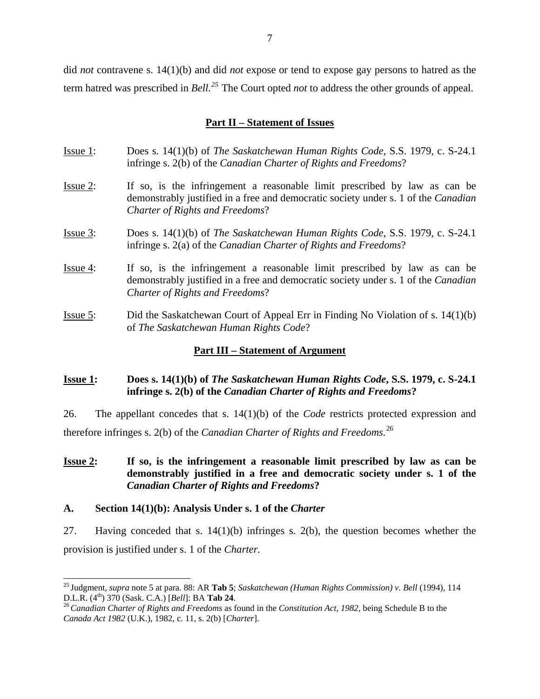did *not* contravene s. 14(1)(b) and did *not* expose or tend to expose gay persons to hatred as the term hatred was prescribed in *Bell.<sup>25</sup>* The Court opted *not* to address the other grounds of appeal.

### **Part II – Statement of Issues**

- <span id="page-12-1"></span><span id="page-12-0"></span>Issue 1: Does s. 14(1)(b) of *The Saskatchewan Human Rights Code*, S.S. 1979, c. S-24.1 infringe s. 2(b) of the *Canadian Charter of Rights and Freedoms*?
- <span id="page-12-2"></span>Issue 2: If so, is the infringement a reasonable limit prescribed by law as can be demonstrably justified in a free and democratic society under s. 1 of the *Canadian Charter of Rights and Freedoms*?
- <span id="page-12-3"></span>Issue 3: Does s. 14(1)(b) of *The Saskatchewan Human Rights Code*, S.S. 1979, c. S-24.1 infringe s. 2(a) of the *Canadian Charter of Rights and Freedoms*?
- <span id="page-12-4"></span>Issue 4: If so, is the infringement a reasonable limit prescribed by law as can be demonstrably justified in a free and democratic society under s. 1 of the *Canadian Charter of Rights and Freedoms*?
- <span id="page-12-5"></span>Issue 5: Did the Saskatchewan Court of Appeal Err in Finding No Violation of s. 14(1)(b) of *The Saskatchewan Human Rights Code*?

### **Part III – Statement of Argument**

### <span id="page-12-7"></span><span id="page-12-6"></span>**Issue 1: Does s. 14(1)(b) of** *The Saskatchewan Human Rights Code***, S.S. 1979, c. S-24.1 infringe s. 2(b) of the** *Canadian Charter of Rights and Freedoms***?**

26. The appellant concedes that s. 14(1)(b) of the *Code* restricts protected expression and therefore infringes s. 2(b) of the *Canadian Charter of Rights and Freedoms.*[26](#page-12-10)

<span id="page-12-8"></span>**Issue 2: If so, is the infringement a reasonable limit prescribed by law as can be demonstrably justified in a free and democratic society under s. 1 of the**  *Canadian Charter of Rights and Freedoms***?** 

### <span id="page-12-9"></span>A. Section 14(1)(b): Analysis Under s. 1 of the *Charter*

j

27. Having conceded that s. 14(1)(b) infringes s. 2(b), the question becomes whether the provision is justified under s. 1 of the *Charter.*

<sup>&</sup>lt;sup>25</sup> Judgment, *supra* note 5 at para. 88: AR **Tab 5**; *Saskatchewan (Human Rights Commission) v. Bell* (1994), 114 D.L.R. (4<sup>th</sup>) 370 (Sask. C.A.) [*Bell*]: BA **Tab 24**.

<span id="page-12-10"></span><sup>&</sup>lt;sup>26</sup> Canadian Charter of Rights and Freedoms as found in the *Constitution Act, 1982*, being Schedule B to the *Canada Act 1982* (U.K.), 1982, c. 11, s. 2(b) [*Charter*].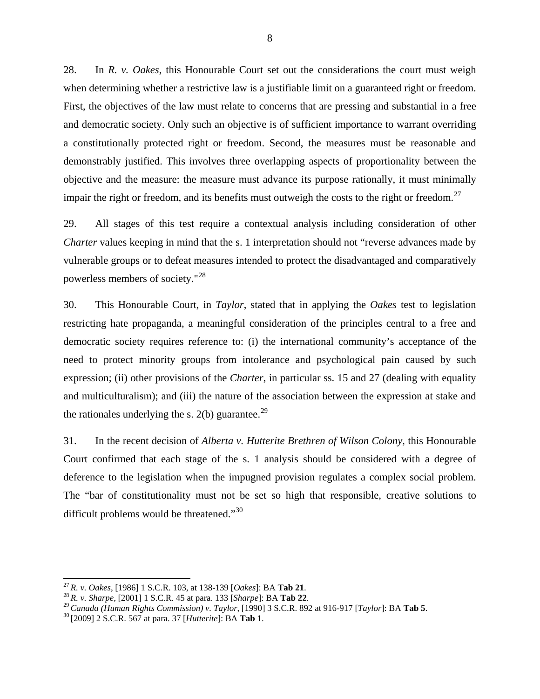28. In *R. v. Oakes*, this Honourable Court set out the considerations the court must weigh when determining whether a restrictive law is a justifiable limit on a guaranteed right or freedom. First, the objectives of the law must relate to concerns that are pressing and substantial in a free and democratic society. Only such an objective is of sufficient importance to warrant overriding a constitutionally protected right or freedom. Second, the measures must be reasonable and demonstrably justified. This involves three overlapping aspects of proportionality between the objective and the measure: the measure must advance its purpose rationally, it must minimally impair the right or freedom, and its benefits must outweigh the costs to the right or freedom.<sup>[27](#page-13-0)</sup>

29. All stages of this test require a contextual analysis including consideration of other *Charter* values keeping in mind that the s. 1 interpretation should not "reverse advances made by vulnerable groups or to defeat measures intended to protect the disadvantaged and comparatively powerless members of society."[28](#page-13-1)

30. This Honourable Court, in *Taylor*, stated that in applying the *Oakes* test to legislation restricting hate propaganda, a meaningful consideration of the principles central to a free and democratic society requires reference to: (i) the international community's acceptance of the need to protect minority groups from intolerance and psychological pain caused by such expression; (ii) other provisions of the *Charter*, in particular ss. 15 and 27 (dealing with equality and multiculturalism); and (iii) the nature of the association between the expression at stake and the rationales underlying the s.  $2(b)$  guarantee.<sup>[29](#page-13-2)</sup>

31. In the recent decision of *Alberta v. Hutterite Brethren of Wilson Colony*, this Honourable Court confirmed that each stage of the s. 1 analysis should be considered with a degree of deference to the legislation when the impugned provision regulates a complex social problem. The "bar of constitutionality must not be set so high that responsible, creative solutions to difficult problems would be threatened."<sup>[30](#page-13-3)</sup>

<span id="page-13-2"></span><span id="page-13-1"></span>

<span id="page-13-0"></span><sup>&</sup>lt;sup>27</sup> R. v. Oakes, [1986] 1 S.C.R. 103, at 138-139 [Oakes]: BA **Tab 21**.<br><sup>28</sup> R. v. Sharpe, [2001] 1 S.C.R. 45 at para. 133 [Sharpe]: BA **Tab 22**.<br><sup>29</sup> Canada (Human Rights Commission) v. Taylor, [1990] 3 S.C.R. 892 at 916

<span id="page-13-3"></span>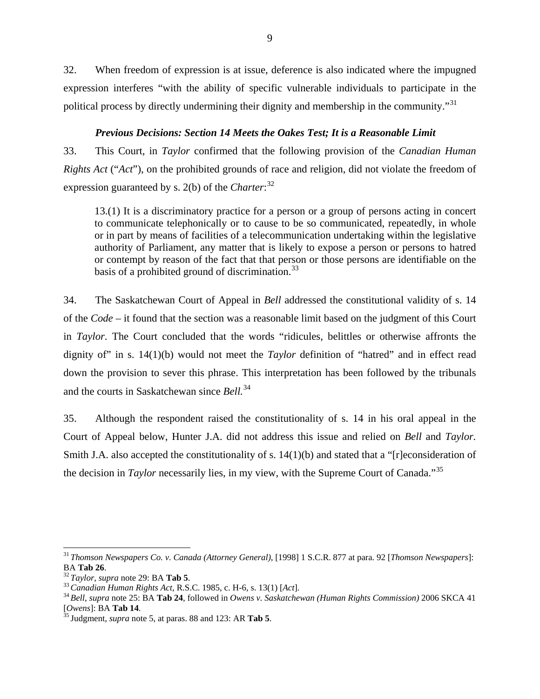32. When freedom of expression is at issue, deference is also indicated where the impugned expression interferes "with the ability of specific vulnerable individuals to participate in the political process by directly undermining their dignity and membership in the community."<sup>[31](#page-14-0)</sup>

#### *Previous Decisions: Section 14 Meets the Oakes Test; It is a Reasonable Limit*

33. This Court, in *Taylor* confirmed that the following provision of the *Canadian Human Rights Act* ("*Act*"), on the prohibited grounds of race and religion, did not violate the freedom of expression guaranteed by s. 2(b) of the *Charter*: [32](#page-14-1)

13.(1) It is a discriminatory practice for a person or a group of persons acting in concert to communicate telephonically or to cause to be so communicated, repeatedly, in whole or in part by means of facilities of a telecommunication undertaking within the legislative authority of Parliament, any matter that is likely to expose a person or persons to hatred or contempt by reason of the fact that that person or those persons are identifiable on the basis of a prohibited ground of discrimination.<sup>[33](#page-14-2)</sup>

34. The Saskatchewan Court of Appeal in *Bell* addressed the constitutional validity of s. 14 of the *Code* – it found that the section was a reasonable limit based on the judgment of this Court in *Taylor*. The Court concluded that the words "ridicules, belittles or otherwise affronts the dignity of" in s. 14(1)(b) would not meet the *Taylor* definition of "hatred" and in effect read down the provision to sever this phrase. This interpretation has been followed by the tribunals and the courts in Saskatchewan since *Bell.*[34](#page-14-3)

35. Although the respondent raised the constitutionality of s. 14 in his oral appeal in the Court of Appeal below, Hunter J.A. did not address this issue and relied on *Bell* and *Taylor.*  Smith J.A. also accepted the constitutionality of s.  $14(1)(b)$  and stated that a "[r]econsideration of the decision in *Taylor* necessarily lies, in my view, with the Supreme Court of Canada."<sup>[35](#page-14-4)</sup>

<span id="page-14-0"></span><sup>31</sup>*Thomson Newspapers Co. v. Canada (Attorney General)*, [1998] 1 S.C.R. 877 at para. 92 [*Thomson Newspapers*]:

<span id="page-14-3"></span>

<span id="page-14-2"></span><span id="page-14-1"></span><sup>&</sup>lt;sup>32</sup> Taylor, supra note 29: BA **Tab 5**.<br><sup>33</sup> Canadian Human Rights Act, R.S.C. 1985, c. H-6, s. 13(1) [Act].<br><sup>34</sup> Bell, supra note 25: BA **Tab 24**, followed in Owens v. Saskatchewan (Human Rights Commission) 2006 SKCA 41 [*Owens*]: BA **Tab 14**. 35 Judgment, *supra* note 5, at paras. 88 and 123: AR **Tab 5**.

<span id="page-14-4"></span>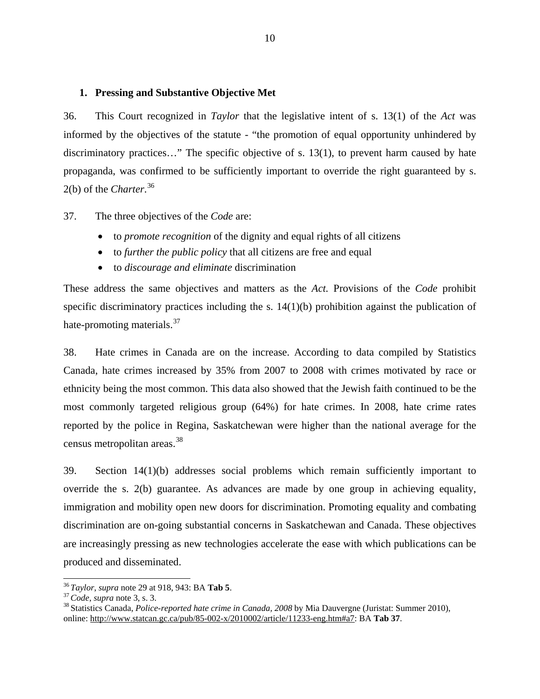#### **1. Pressing and Substantive Objective Met**

<span id="page-15-0"></span>36. This Court recognized in *Taylor* that the legislative intent of s. 13(1) of the *Act* was informed by the objectives of the statute - "the promotion of equal opportunity unhindered by discriminatory practices..." The specific objective of s. 13(1), to prevent harm caused by hate propaganda, was confirmed to be sufficiently important to override the right guaranteed by s. 2(b) of the *Charter*. [36](#page-15-1)

37. The three objectives of the *Code* are:

- to *promote recognition* of the dignity and equal rights of all citizens
- to *further the public policy* that all citizens are free and equal
- to *discourage and eliminate* discrimination

These address the same objectives and matters as the *Act.* Provisions of the *Code* prohibit specific discriminatory practices including the s.  $14(1)(b)$  prohibition against the publication of hate-promoting materials.<sup>[37](#page-15-2)</sup>

38. Hate crimes in Canada are on the increase. According to data compiled by Statistics Canada, hate crimes increased by 35% from 2007 to 2008 with crimes motivated by race or ethnicity being the most common. This data also showed that the Jewish faith continued to be the most commonly targeted religious group (64%) for hate crimes. In 2008, hate crime rates reported by the police in Regina, Saskatchewan were higher than the national average for the census metropolitan areas.[38](#page-15-3)

39. Section 14(1)(b) addresses social problems which remain sufficiently important to override the s. 2(b) guarantee. As advances are made by one group in achieving equality, immigration and mobility open new doors for discrimination. Promoting equality and combating discrimination are on-going substantial concerns in Saskatchewan and Canada. These objectives are increasingly pressing as new technologies accelerate the ease with which publications can be produced and disseminated.

<span id="page-15-3"></span><span id="page-15-2"></span>

<span id="page-15-1"></span><sup>&</sup>lt;sup>36</sup>*Taylor*, *supra* note 29 at 918, 943: BA **Tab 5**.<br><sup>37</sup>*Code*, *supra* note 3, s. 3.<br><sup>38</sup> Statistics Canada, *Police-reported hate crime in Canada*, 2008 by Mia Dauvergne (Juristat: Summer 2010), online:<http://www.statcan.gc.ca/pub/85-002-x/2010002/article/11233-eng.htm#a7>: BA **Tab 37**.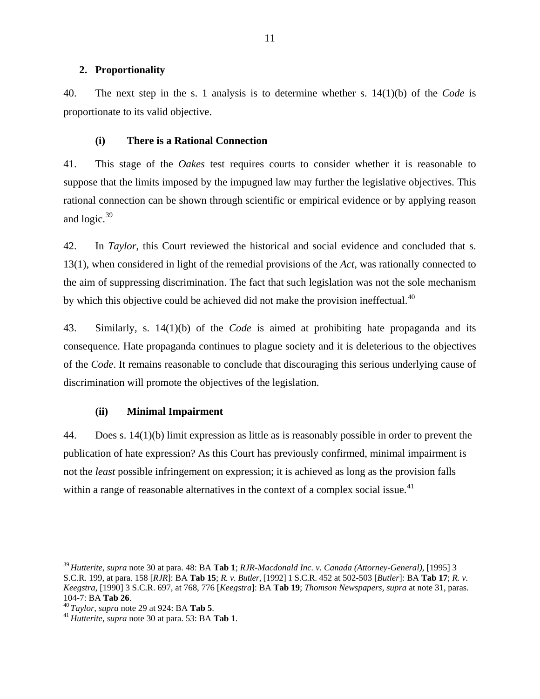#### **2. Proportionality**

<span id="page-16-0"></span>40. The next step in the s. 1 analysis is to determine whether s. 14(1)(b) of the *Code* is proportionate to its valid objective.

### **(i) There is a Rational Connection**

<span id="page-16-1"></span>41. This stage of the *Oakes* test requires courts to consider whether it is reasonable to suppose that the limits imposed by the impugned law may further the legislative objectives. This rational connection can be shown through scientific or empirical evidence or by applying reason and logic.[39](#page-16-3)

42. In *Taylor*, this Court reviewed the historical and social evidence and concluded that s. 13(1), when considered in light of the remedial provisions of the *Act*, was rationally connected to the aim of suppressing discrimination. The fact that such legislation was not the sole mechanism by which this objective could be achieved did not make the provision ineffectual.<sup>[40](#page-16-4)</sup>

43. Similarly, s. 14(1)(b) of the *Code* is aimed at prohibiting hate propaganda and its consequence. Hate propaganda continues to plague society and it is deleterious to the objectives of the *Code*. It remains reasonable to conclude that discouraging this serious underlying cause of discrimination will promote the objectives of the legislation.

### **(ii) Minimal Impairment**

<span id="page-16-2"></span>44. Does s. 14(1)(b) limit expression as little as is reasonably possible in order to prevent the publication of hate expression? As this Court has previously confirmed, minimal impairment is not the *least* possible infringement on expression; it is achieved as long as the provision falls within a range of reasonable alternatives in the context of a complex social issue.<sup>[41](#page-16-5)</sup>

<span id="page-16-3"></span><sup>39</sup>*Hutterite*, *supra* note 30 at para. 48: BA **Tab 1**; *RJR-Macdonald Inc. v. Canada (Attorney-General)*, [1995] 3 S.C.R. 199, at para. 158 [*RJR*]: BA **Tab 15**; *R. v. Butler*, [1992] 1 S.C.R. 452 at 502-503 [*Butler*]: BA **Tab 17**; *R. v. Keegstra*, [1990] 3 S.C.R. 697, at 768, 776 [*Keegstra*]: BA **Tab 19**; *Thomson Newspapers, supra* at note 31, paras.

<span id="page-16-5"></span><span id="page-16-4"></span><sup>104-7:</sup> BA **Tab 26**. <sup>40</sup>*Taylor*, *supra* note 29 at 924: BA **Tab 5**. <sup>41</sup>*Hutterite*, *supra* note 30 at para. 53: BA **Tab 1**.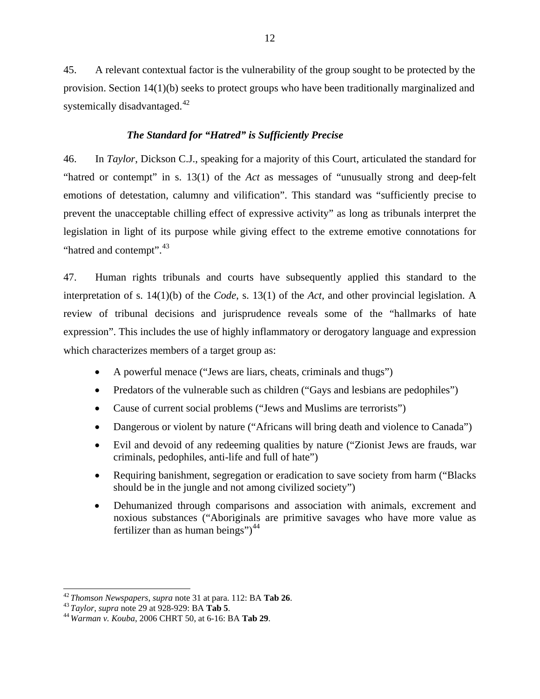45. A relevant contextual factor is the vulnerability of the group sought to be protected by the provision. Section 14(1)(b) seeks to protect groups who have been traditionally marginalized and systemically disadvantaged. $42$ 

#### *The Standard for "Hatred" is Sufficiently Precise*

<span id="page-17-0"></span>46. In *Taylor*, Dickson C.J., speaking for a majority of this Court, articulated the standard for "hatred or contempt" in s. 13(1) of the *Act* as messages of "unusually strong and deep-felt emotions of detestation, calumny and vilification". This standard was "sufficiently precise to prevent the unacceptable chilling effect of expressive activity" as long as tribunals interpret the legislation in light of its purpose while giving effect to the extreme emotive connotations for "hatred and contempt".<sup>[43](#page-17-2)</sup>

47. Human rights tribunals and courts have subsequently applied this standard to the interpretation of s. 14(1)(b) of the *Code*, s. 13(1) of the *Act*, and other provincial legislation. A review of tribunal decisions and jurisprudence reveals some of the "hallmarks of hate expression". This includes the use of highly inflammatory or derogatory language and expression which characterizes members of a target group as:

- A powerful menace ("Jews are liars, cheats, criminals and thugs")
- Predators of the vulnerable such as children ("Gays and lesbians are pedophiles")
- Cause of current social problems ("Jews and Muslims are terrorists")
- Dangerous or violent by nature ("Africans will bring death and violence to Canada")
- Evil and devoid of any redeeming qualities by nature ("Zionist Jews are frauds, war criminals, pedophiles, anti-life and full of hate")
- Requiring banishment, segregation or eradication to save society from harm ("Blacks") should be in the jungle and not among civilized society")
- Dehumanized through comparisons and association with animals, excrement and noxious substances ("Aboriginals are primitive savages who have more value as fertilizer than as human beings") $44$

<span id="page-17-1"></span><sup>42</sup>*Thomson Newspapers*, *supra* note 31 at para. 112: BA **Tab 26**. <sup>43</sup>*Taylor*, *supra* note 29 at 928-929: BA **Tab 5**. <sup>44</sup>*Warman v. Kouba*, 2006 CHRT 50, at 6-16: BA **Tab 29**.

<span id="page-17-2"></span>

<span id="page-17-3"></span>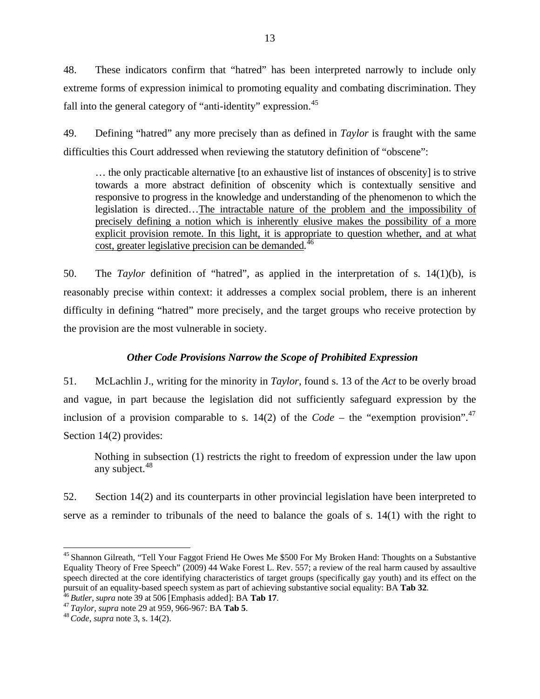48. These indicators confirm that "hatred" has been interpreted narrowly to include only extreme forms of expression inimical to promoting equality and combating discrimination. They fall into the general category of "anti-identity" expression.<sup>[45](#page-18-1)</sup>

49. Defining "hatred" any more precisely than as defined in *Taylor* is fraught with the same difficulties this Court addressed when reviewing the statutory definition of "obscene":

… the only practicable alternative [to an exhaustive list of instances of obscenity] is to strive towards a more abstract definition of obscenity which is contextually sensitive and responsive to progress in the knowledge and understanding of the phenomenon to which the legislation is directed…The intractable nature of the problem and the impossibility of precisely defining a notion which is inherently elusive makes the possibility of a more explicit provision remote. In this light, it is appropriate to question whether, and at what cost, greater legislative precision can be demanded.<sup>[46](#page-18-2)</sup>

50. The *Taylor* definition of "hatred", as applied in the interpretation of s. 14(1)(b), is reasonably precise within context: it addresses a complex social problem, there is an inherent difficulty in defining "hatred" more precisely, and the target groups who receive protection by the provision are the most vulnerable in society.

# *Other Code Provisions Narrow the Scope of Prohibited Expression*

<span id="page-18-0"></span>51. McLachlin J., writing for the minority in *Taylor*, found s. 13 of the *Act* to be overly broad and vague, in part because the legislation did not sufficiently safeguard expression by the inclusion of a provision comparable to s.  $14(2)$  of the *Code* – the "exemption provision".<sup>[47](#page-18-3)</sup> Section 14(2) provides:

Nothing in subsection (1) restricts the right to freedom of expression under the law upon any subject.<sup>[48](#page-18-4)</sup>

52. Section 14(2) and its counterparts in other provincial legislation have been interpreted to serve as a reminder to tribunals of the need to balance the goals of s. 14(1) with the right to

<span id="page-18-1"></span><sup>&</sup>lt;sup>45</sup> Shannon Gilreath, "Tell Your Faggot Friend He Owes Me \$500 For My Broken Hand: Thoughts on a Substantive Equality Theory of Free Speech" (2009) 44 Wake Forest L. Rev. 557; a review of the real harm caused by assaultive speech directed at the core identifying characteristics of target groups (specifically gay youth) and its effect on the pursuit of an equality-based speech system as part of achieving substantive social equality: BA **Tab 32**.<br><sup>46</sup> Butler, supra note 39 at 506 [Emphasis added]: BA **Tab 17**.<br><sup>47</sup> Taylor, supra note 29 at 959, 966-967: BA **Tab** 

<span id="page-18-2"></span>

<span id="page-18-3"></span>

<span id="page-18-4"></span>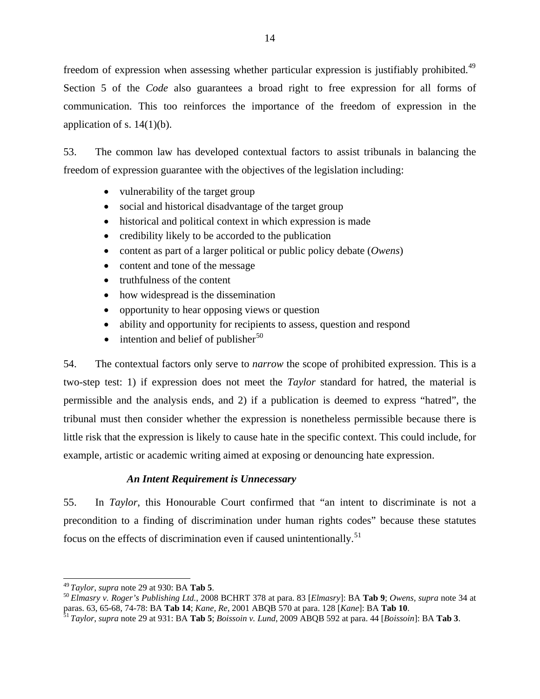freedom of expression when assessing whether particular expression is justifiably prohibited.<sup>49</sup> Section 5 of the *Code* also guarantees a broad right to free expression for all forms of communication. This too reinforces the importance of the freedom of expression in the application of s.  $14(1)(b)$ .

53. The common law has developed contextual factors to assist tribunals in balancing the freedom of expression guarantee with the objectives of the legislation including:

- vulnerability of the target group
- social and historical disadvantage of the target group
- historical and political context in which expression is made
- credibility likely to be accorded to the publication
- content as part of a larger political or public policy debate (*Owens*)
- content and tone of the message
- truthfulness of the content
- how widespread is the dissemination
- opportunity to hear opposing views or question
- ability and opportunity for recipients to assess, question and respond
- $\bullet$  intention and belief of publisher<sup>[50](#page-19-1)</sup>

54. The contextual factors only serve to *narrow* the scope of prohibited expression. This is a two-step test: 1) if expression does not meet the *Taylor* standard for hatred, the material is permissible and the analysis ends, and 2) if a publication is deemed to express "hatred", the tribunal must then consider whether the expression is nonetheless permissible because there is little risk that the expression is likely to cause hate in the specific context. This could include, for example, artistic or academic writing aimed at exposing or denouncing hate expression.

### *An Intent Requirement is Unnecessary*

<span id="page-19-0"></span>55. In *Taylor*, this Honourable Court confirmed that "an intent to discriminate is not a precondition to a finding of discrimination under human rights codes" because these statutes focus on the effects of discrimination even if caused unintentionally.<sup>[51](#page-19-2)</sup>

<span id="page-19-1"></span><sup>49</sup>*Taylor*, *supra* note 29 at 930: BA **Tab 5**. <sup>50</sup>*Elmasry v. Roger's Publishing Ltd.*, 2008 BCHRT 378 at para. 83 [*Elmasry*]: BA **Tab 9**; *Owens, supra* note 34 at paras. 63, 65-68, 74-78: BA Tab 14; *Kane, Re, 2001 ABQB 570 at para. 128 [Kane]*: BA Tab 10.<br><sup>51</sup> Taylor, supra note 29 at 931: BA Tab 5; *Boissoin v. Lund*, 2009 ABQB 592 at para. 44 [*Boissoin*]: BA Tab 3.

<span id="page-19-2"></span>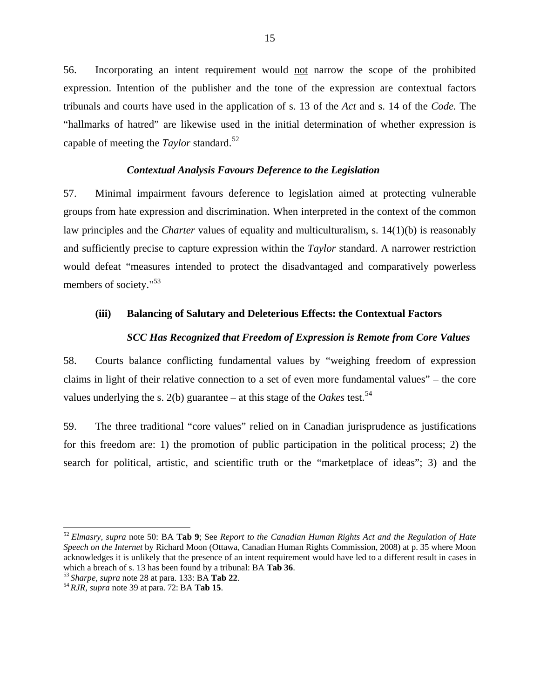56. Incorporating an intent requirement would not narrow the scope of the prohibited expression. Intention of the publisher and the tone of the expression are contextual factors tribunals and courts have used in the application of s. 13 of the *Act* and s. 14 of the *Code.* The "hallmarks of hatred" are likewise used in the initial determination of whether expression is capable of meeting the *Taylor* standard.<sup>[52](#page-20-3)</sup>

#### *Contextual Analysis Favours Deference to the Legislation*

<span id="page-20-0"></span>57. Minimal impairment favours deference to legislation aimed at protecting vulnerable groups from hate expression and discrimination. When interpreted in the context of the common law principles and the *Charter* values of equality and multiculturalism, s. 14(1)(b) is reasonably and sufficiently precise to capture expression within the *Taylor* standard. A narrower restriction would defeat "measures intended to protect the disadvantaged and comparatively powerless members of society."<sup>[53](#page-20-4)</sup>

#### **(iii) Balancing of Salutary and Deleterious Effects: the Contextual Factors**

#### *SCC Has Recognized that Freedom of Expression is Remote from Core Values*

<span id="page-20-2"></span><span id="page-20-1"></span>58. Courts balance conflicting fundamental values by "weighing freedom of expression claims in light of their relative connection to a set of even more fundamental values" – the core values underlying the s. 2(b) guarantee – at this stage of the *Oakes* test.<sup>[54](#page-20-5)</sup>

59. The three traditional "core values" relied on in Canadian jurisprudence as justifications for this freedom are: 1) the promotion of public participation in the political process; 2) the search for political, artistic, and scientific truth or the "marketplace of ideas"; 3) and the

<span id="page-20-3"></span><sup>52</sup>*Elmasry, supra* note 50: BA **Tab 9**; See *Report to the Canadian Human Rights Act and the Regulation of Hate Speech on the Internet* by Richard Moon (Ottawa, Canadian Human Rights Commission, 2008) at p. 35 where Moon acknowledges it is unlikely that the presence of an intent requirement would have led to a different result in cases in which a breach of s. 13 has been found by a tribunal: BA Tab 36.

<span id="page-20-5"></span><span id="page-20-4"></span>which a breach of s. 13 has been found by a tribunal: BA **Tab 36**. <sup>53</sup>*Sharpe*, *supra* note 28 at para. 133: BA **Tab 22**. <sup>54</sup>*RJR, supra* note 39 at para. 72: BA **Tab 15**.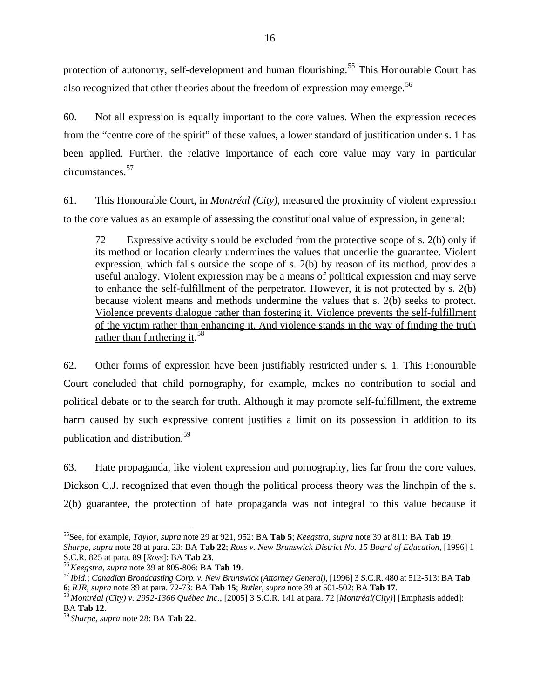protection of autonomy, self-development and human flourishing.<sup>55</sup> This Honourable Court has also recognized that other theories about the freedom of expression may emerge.<sup>56</sup>

60. Not all expression is equally important to the core values. When the expression recedes from the "centre core of the spirit" of these values, a lower standard of justification under s. 1 has been applied. Further, the relative importance of each core value may vary in particular circumstances.[57](#page-21-0)

61. This Honourable Court, in *Montréal (City)*, measured the proximity of violent expression to the core values as an example of assessing the constitutional value of expression, in general:

72 Expressive activity should be excluded from the protective scope of s. 2(b) only if its method or location clearly undermines the values that underlie the guarantee. Violent expression, which falls outside the scope of s. 2(b) by reason of its method, provides a useful analogy. Violent expression may be a means of political expression and may serve to enhance the self-fulfillment of the perpetrator. However, it is not protected by s. 2(b) because violent means and methods undermine the values that s. 2(b) seeks to protect. Violence prevents dialogue rather than fostering it. Violence prevents the self-fulfillment of the victim rather than enhancing it. And violence stands in the way of finding the truth rather than furthering it.<sup>[58](#page-21-1)</sup>

62. Other forms of expression have been justifiably restricted under s. 1. This Honourable Court concluded that child pornography, for example, makes no contribution to social and political debate or to the search for truth. Although it may promote self-fulfillment, the extreme harm caused by such expressive content justifies a limit on its possession in addition to its publication and distribution.[59](#page-21-2)

63. Hate propaganda, like violent expression and pornography, lies far from the core values. Dickson C.J. recognized that even though the political process theory was the linchpin of the s. 2(b) guarantee, the protection of hate propaganda was not integral to this value because it

<sup>55</sup>See, for example, *Taylor, supra* note 29 at 921, 952: BA **Tab 5**; *Keegstra, supra* note 39 at 811: BA **Tab 19**; *Sharpe*, *supra* note 28 at para. 23: BA **Tab 22**; *Ross v. New Brunswick District No. 15 Board of Education*, [1996] 1

<span id="page-21-0"></span><sup>&</sup>lt;sup>56</sup> Keegstra, supra note 39 at 805-806: BA **Tab 19**.<br><sup>57</sup> Ibid.; Canadian Broadcasting Corp. v. New Brunswick (Attorney General), [1996] 3 S.C.R. 480 at 512-513: BA **Tab**<br>6; RJR, supra note 39 at para. 72-73: BA **Tab 15** 

<span id="page-21-1"></span><sup>&</sup>lt;sup>58</sup> Montréal (City) v. 2952-1366 Québec Inc., [2005] 3 S.C.R. 141 at para. 72 [Montréal(City)] [Emphasis added]: BA **Tab 12**. 59 *Sharpe, supra* note 28: BA **Tab 22**.

<span id="page-21-2"></span>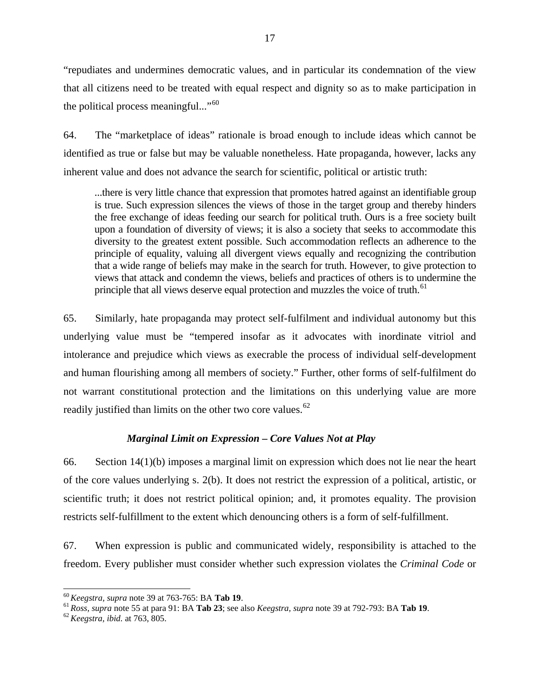"repudiates and undermines democratic values, and in particular its condemnation of the view that all citizens need to be treated with equal respect and dignity so as to make participation in the political process meaningful..."<sup>60</sup>

64. The "marketplace of ideas" rationale is broad enough to include ideas which cannot be identified as true or false but may be valuable nonetheless. Hate propaganda, however, lacks any inherent value and does not advance the search for scientific, political or artistic truth:

...there is very little chance that expression that promotes hatred against an identifiable group is true. Such expression silences the views of those in the target group and thereby hinders the free exchange of ideas feeding our search for political truth. Ours is a free society built upon a foundation of diversity of views; it is also a society that seeks to accommodate this diversity to the greatest extent possible. Such accommodation reflects an adherence to the principle of equality, valuing all divergent views equally and recognizing the contribution that a wide range of beliefs may make in the search for truth. However, to give protection to views that attack and condemn the views, beliefs and practices of others is to undermine the principle that all views deserve equal protection and muzzles the voice of truth.<sup>[61](#page-22-1)</sup>

65. Similarly, hate propaganda may protect self-fulfilment and individual autonomy but this underlying value must be "tempered insofar as it advocates with inordinate vitriol and intolerance and prejudice which views as execrable the process of individual self-development and human flourishing among all members of society." Further, other forms of self-fulfilment do not warrant constitutional protection and the limitations on this underlying value are more readily justified than limits on the other two core values.<sup>[62](#page-22-2)</sup>

### *Marginal Limit on Expression – Core Values Not at Play*

<span id="page-22-0"></span>66. Section 14(1)(b) imposes a marginal limit on expression which does not lie near the heart of the core values underlying s. 2(b). It does not restrict the expression of a political, artistic, or scientific truth; it does not restrict political opinion; and, it promotes equality. The provision restricts self-fulfillment to the extent which denouncing others is a form of self-fulfillment.

67. When expression is public and communicated widely, responsibility is attached to the freedom. Every publisher must consider whether such expression violates the *Criminal Code* or

<span id="page-22-1"></span><sup>&</sup>lt;sup>60</sup> Keegstra, supra note 39 at 763-765: BA **Tab 19**.<br><sup>61</sup> Ross, supra note 55 at para 91: BA **Tab 23**; see also Keegstra, supra note 39 at 792-793: BA **Tab 19**.<br><sup>62</sup> Keegstra, ibid. at 763, 805.

<span id="page-22-2"></span>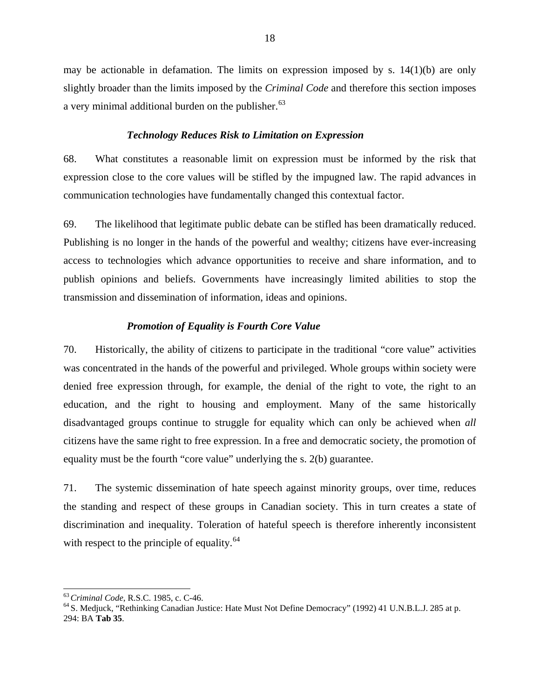may be actionable in defamation. The limits on expression imposed by s.  $14(1)(b)$  are only slightly broader than the limits imposed by the *Criminal Code* and therefore this section imposes a very minimal additional burden on the publisher.<sup>63</sup>

#### *Technology Reduces Risk to Limitation on Expression*

<span id="page-23-0"></span>68. What constitutes a reasonable limit on expression must be informed by the risk that expression close to the core values will be stifled by the impugned law. The rapid advances in communication technologies have fundamentally changed this contextual factor.

69. The likelihood that legitimate public debate can be stifled has been dramatically reduced. Publishing is no longer in the hands of the powerful and wealthy; citizens have ever-increasing access to technologies which advance opportunities to receive and share information, and to publish opinions and beliefs. Governments have increasingly limited abilities to stop the transmission and dissemination of information, ideas and opinions.

#### *Promotion of Equality is Fourth Core Value*

<span id="page-23-1"></span>70. Historically, the ability of citizens to participate in the traditional "core value" activities was concentrated in the hands of the powerful and privileged. Whole groups within society were denied free expression through, for example, the denial of the right to vote, the right to an education, and the right to housing and employment. Many of the same historically disadvantaged groups continue to struggle for equality which can only be achieved when *all* citizens have the same right to free expression. In a free and democratic society, the promotion of equality must be the fourth "core value" underlying the s. 2(b) guarantee.

71. The systemic dissemination of hate speech against minority groups, over time, reduces the standing and respect of these groups in Canadian society. This in turn creates a state of discrimination and inequality. Toleration of hateful speech is therefore inherently inconsistent with respect to the principle of equality. $64$ 

<span id="page-23-2"></span><sup>&</sup>lt;sup>63</sup> Criminal Code, R.S.C. 1985, c. C-46.<br><sup>64</sup> S. Medjuck, "Rethinking Canadian Justice: Hate Must Not Define Democracy" (1992) 41 U.N.B.L.J. 285 at p. 294: BA **Tab 35**.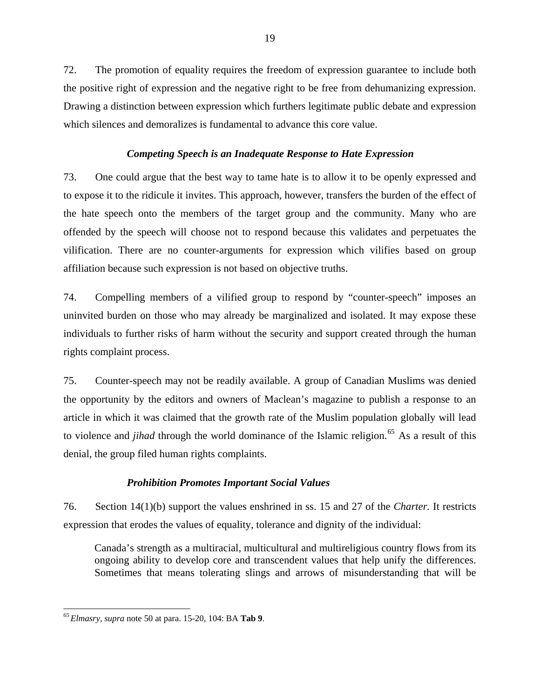72. The promotion of equality requires the freedom of expression guarantee to include both the positive right of expression and the negative right to be free from dehumanizing expression. Drawing a distinction between expression which furthers legitimate public debate and expression which silences and demoralizes is fundamental to advance this core value.

### *Competing Speech is an Inadequate Response to Hate Expression*

<span id="page-24-0"></span>73. One could argue that the best way to tame hate is to allow it to be openly expressed and to expose it to the ridicule it invites. This approach, however, transfers the burden of the effect of the hate speech onto the members of the target group and the community. Many who are offended by the speech will choose not to respond because this validates and perpetuates the vilification. There are no counter-arguments for expression which vilifies based on group affiliation because such expression is not based on objective truths.

74. Compelling members of a vilified group to respond by "counter-speech" imposes an uninvited burden on those who may already be marginalized and isolated. It may expose these individuals to further risks of harm without the security and support created through the human rights complaint process.

75. Counter-speech may not be readily available. A group of Canadian Muslims was denied the opportunity by the editors and owners of Maclean's magazine to publish a response to an article in which it was claimed that the growth rate of the Muslim population globally will lead to violence and *jihad* through the world dominance of the Islamic religion.<sup>[65](#page-24-2)</sup> As a result of this denial, the group filed human rights complaints.

# *Prohibition Promotes Important Social Values*

<span id="page-24-1"></span>76. Section 14(1)(b) support the values enshrined in ss. 15 and 27 of the *Charter.* It restricts expression that erodes the values of equality, tolerance and dignity of the individual:

Canada's strength as a multiracial, multicultural and multireligious country flows from its ongoing ability to develop core and transcendent values that help unify the differences. Sometimes that means tolerating slings and arrows of misunderstanding that will be

<span id="page-24-2"></span><sup>65</sup>*Elmasry, supra* note 50 at para. 15-20, 104: BA **Tab 9**.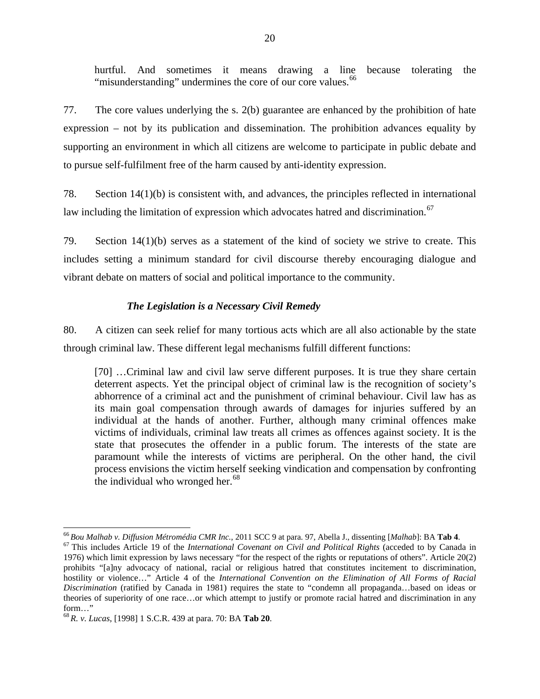hurtful. And sometimes it means drawing a line because tolerating the "misunderstanding" undermines the core of our core values.<sup>[66](#page-25-1)</sup>

77. The core values underlying the s. 2(b) guarantee are enhanced by the prohibition of hate expression – not by its publication and dissemination. The prohibition advances equality by supporting an environment in which all citizens are welcome to participate in public debate and to pursue self-fulfilment free of the harm caused by anti-identity expression.

78. Section 14(1)(b) is consistent with, and advances, the principles reflected in international law including the limitation of expression which advocates hatred and discrimination.<sup>[67](#page-25-2)</sup>

79. Section 14(1)(b) serves as a statement of the kind of society we strive to create. This includes setting a minimum standard for civil discourse thereby encouraging dialogue and vibrant debate on matters of social and political importance to the community.

## *The Legislation is a Necessary Civil Remedy*

<span id="page-25-0"></span>80. A citizen can seek relief for many tortious acts which are all also actionable by the state through criminal law. These different legal mechanisms fulfill different functions:

[70] …Criminal law and civil law serve different purposes. It is true they share certain deterrent aspects. Yet the principal object of criminal law is the recognition of society's abhorrence of a criminal act and the punishment of criminal behaviour. Civil law has as its main goal compensation through awards of damages for injuries suffered by an individual at the hands of another. Further, although many criminal offences make victims of individuals, criminal law treats all crimes as offences against society. It is the state that prosecutes the offender in a public forum. The interests of the state are paramount while the interests of victims are peripheral. On the other hand, the civil process envisions the victim herself seeking vindication and compensation by confronting the individual who wronged her. $68$ 

<span id="page-25-1"></span><sup>&</sup>lt;sup>66</sup> Bou Malhab v. Diffusion Métromédia CMR Inc., 2011 SCC 9 at para. 97, Abella J., dissenting [Malhab]: BA **Tab 4**.<br><sup>67</sup> This includes Article 19 of the International Covenant on Civil and Political Rights (acceded to b

<span id="page-25-2"></span><sup>1976)</sup> which limit expression by laws necessary "for the respect of the rights or reputations of others". Article 20(2) prohibits "[a]ny advocacy of national, racial or religious hatred that constitutes incitement to discrimination, hostility or violence…" Article 4 of the *International Convention on the Elimination of All Forms of Racial Discrimination* (ratified by Canada in 1981) requires the state to "condemn all propaganda…based on ideas or theories of superiority of one race…or which attempt to justify or promote racial hatred and discrimination in any form…"

<span id="page-25-3"></span><sup>68</sup>*R. v. Lucas,* [1998] 1 S.C.R. 439 at para. 70: BA **Tab 20**.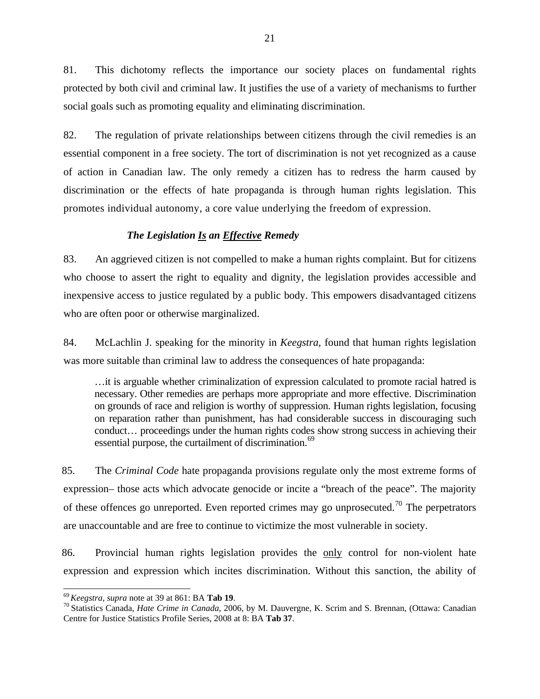81. This dichotomy reflects the importance our society places on fundamental rights protected by both civil and criminal law. It justifies the use of a variety of mechanisms to further social goals such as promoting equality and eliminating discrimination.

82. The regulation of private relationships between citizens through the civil remedies is an essential component in a free society. The tort of discrimination is not yet recognized as a cause of action in Canadian law. The only remedy a citizen has to redress the harm caused by discrimination or the effects of hate propaganda is through human rights legislation. This promotes individual autonomy, a core value underlying the freedom of expression.

#### *The Legislation Is an Effective Remedy*

<span id="page-26-0"></span>83. An aggrieved citizen is not compelled to make a human rights complaint. But for citizens who choose to assert the right to equality and dignity, the legislation provides accessible and inexpensive access to justice regulated by a public body. This empowers disadvantaged citizens who are often poor or otherwise marginalized.

84. McLachlin J. speaking for the minority in *Keegstra,* found that human rights legislation was more suitable than criminal law to address the consequences of hate propaganda:

…it is arguable whether criminalization of expression calculated to promote racial hatred is necessary. Other remedies are perhaps more appropriate and more effective. Discrimination on grounds of race and religion is worthy of suppression. Human rights legislation, focusing on reparation rather than punishment, has had considerable success in discouraging such conduct… proceedings under the human rights codes show strong success in achieving their essential purpose, the curtailment of discrimination.<sup>[69](#page-26-1)</sup>

85. The *Criminal Code* hate propaganda provisions regulate only the most extreme forms of expression– those acts which advocate genocide or incite a "breach of the peace". The majority of these offences go unreported. Even reported crimes may go unprosecuted.<sup>[70](#page-26-2)</sup> The perpetrators are unaccountable and are free to continue to victimize the most vulnerable in society.

86. Provincial human rights legislation provides the only control for non-violent hate expression and expression which incites discrimination. Without this sanction, the ability of

<span id="page-26-2"></span>

<span id="page-26-1"></span><sup>69</sup>*Keegstra, supra* note at 39 at 861: BA **Tab 19**. 70 Statistics Canada, *Hate Crime in Canada*, 2006, by M. Dauvergne, K. Scrim and S. Brennan, (Ottawa: Canadian Centre for Justice Statistics Profile Series, 2008 at 8: BA **Tab 37**.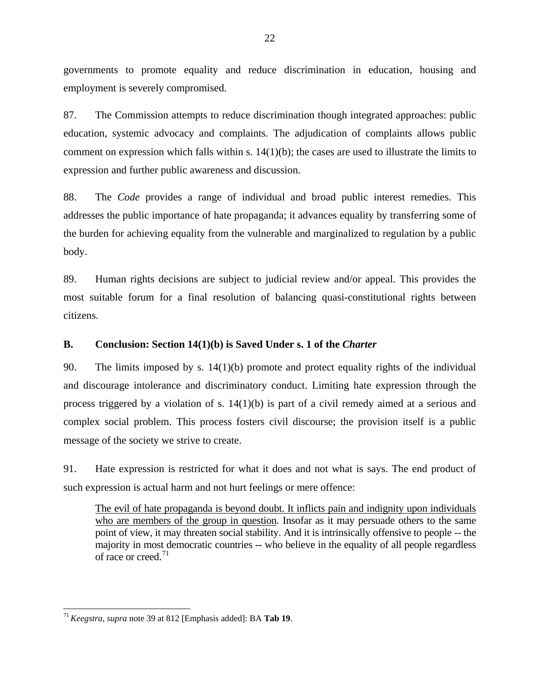governments to promote equality and reduce discrimination in education, housing and employment is severely compromised.

87. The Commission attempts to reduce discrimination though integrated approaches: public education, systemic advocacy and complaints. The adjudication of complaints allows public comment on expression which falls within s. 14(1)(b); the cases are used to illustrate the limits to expression and further public awareness and discussion.

88. The *Code* provides a range of individual and broad public interest remedies. This addresses the public importance of hate propaganda; it advances equality by transferring some of the burden for achieving equality from the vulnerable and marginalized to regulation by a public body.

89. Human rights decisions are subject to judicial review and/or appeal. This provides the most suitable forum for a final resolution of balancing quasi-constitutional rights between citizens.

### <span id="page-27-0"></span>**B. Conclusion: Section 14(1)(b) is Saved Under s. 1 of the** *Charter*

90. The limits imposed by s. 14(1)(b) promote and protect equality rights of the individual and discourage intolerance and discriminatory conduct. Limiting hate expression through the process triggered by a violation of s. 14(1)(b) is part of a civil remedy aimed at a serious and complex social problem. This process fosters civil discourse; the provision itself is a public message of the society we strive to create.

91. Hate expression is restricted for what it does and not what is says. The end product of such expression is actual harm and not hurt feelings or mere offence:

The evil of hate propaganda is beyond doubt. It inflicts pain and indignity upon individuals who are members of the group in question. Insofar as it may persuade others to the same point of view, it may threaten social stability. And it is intrinsically offensive to people -- the majority in most democratic countries -- who believe in the equality of all people regardless of race or creed.<sup>[71](#page-27-1)</sup>

<span id="page-27-1"></span><sup>71</sup>*Keegstra, supra* note 39 at 812 [Emphasis added]: BA **Tab 19**.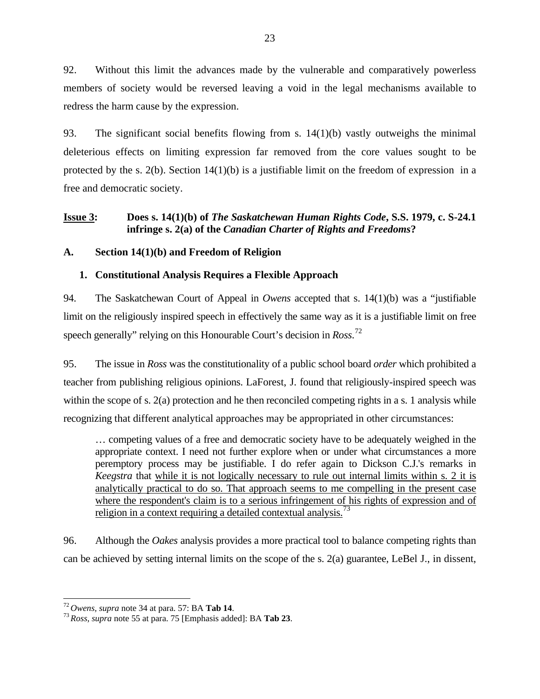92. Without this limit the advances made by the vulnerable and comparatively powerless members of society would be reversed leaving a void in the legal mechanisms available to redress the harm cause by the expression.

93. The significant social benefits flowing from s.  $14(1)(b)$  vastly outweighs the minimal deleterious effects on limiting expression far removed from the core values sought to be protected by the s. 2(b). Section 14(1)(b) is a justifiable limit on the freedom of expression in a free and democratic society.

# <span id="page-28-0"></span>**Issue 3: Does s. 14(1)(b) of** *The Saskatchewan Human Rights Code***, S.S. 1979, c. S-24.1 infringe s. 2(a) of the** *Canadian Charter of Rights and Freedoms***?**

## <span id="page-28-2"></span><span id="page-28-1"></span>**A. Section 14(1)(b) and Freedom of Religion**

## **1. Constitutional Analysis Requires a Flexible Approach**

94. The Saskatchewan Court of Appeal in *Owens* accepted that s. 14(1)(b) was a "justifiable limit on the religiously inspired speech in effectively the same way as it is a justifiable limit on free speech generally" relying on this Honourable Court's decision in *Ross*. [72](#page-28-3)

95. The issue in *Ross* was the constitutionality of a public school board *order* which prohibited a teacher from publishing religious opinions. LaForest, J. found that religiously-inspired speech was within the scope of s. 2(a) protection and he then reconciled competing rights in a s. 1 analysis while recognizing that different analytical approaches may be appropriated in other circumstances:

… competing values of a free and democratic society have to be adequately weighed in the appropriate context. I need not further explore when or under what circumstances a more peremptory process may be justifiable. I do refer again to Dickson C.J.'s remarks in *Keegstra* that while it is not logically necessary to rule out internal limits within s. 2 it is analytically practical to do so. That approach seems to me compelling in the present case where the respondent's claim is to a serious infringement of his rights of expression and of religion in a context requiring a detailed contextual analysis.<sup>[73](#page-28-4)</sup>

96. Although the *Oakes* analysis provides a more practical tool to balance competing rights than can be achieved by setting internal limits on the scope of the s. 2(a) guarantee, LeBel J., in dissent,

<span id="page-28-4"></span>

<span id="page-28-3"></span><sup>72</sup>*Owens, supra* note 34 at para. 57: BA **Tab 14**. 73 *Ross, supra* note 55 at para. 75 [Emphasis added]: BA **Tab 23**.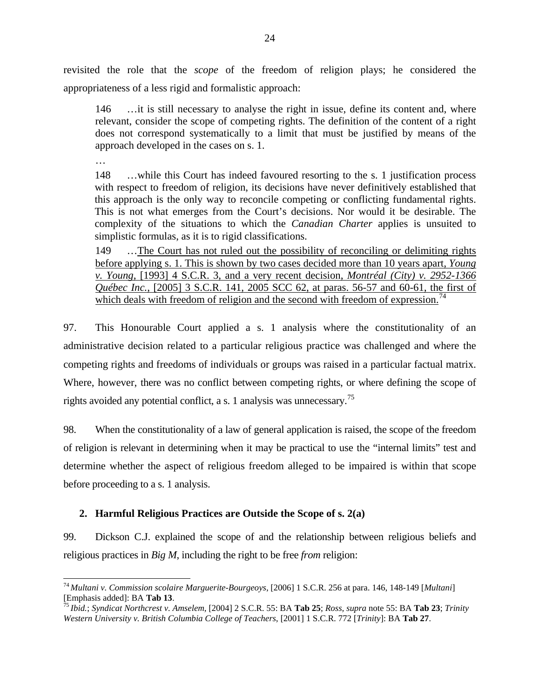revisited the role that the *scope* of the freedom of religion plays; he considered the appropriateness of a less rigid and formalistic approach:

146 …it is still necessary to analyse the right in issue, define its content and, where relevant, consider the scope of competing rights. The definition of the content of a right does not correspond systematically to a limit that must be justified by means of the approach developed in the cases on s. 1.

…

j

148 …while this Court has indeed favoured resorting to the s. 1 justification process with respect to freedom of religion, its decisions have never definitively established that this approach is the only way to reconcile competing or conflicting fundamental rights. This is not what emerges from the Court's decisions. Nor would it be desirable. The complexity of the situations to which the *Canadian Charter* applies is unsuited to simplistic formulas, as it is to rigid classifications.

149 …The Court has not ruled out the possibility of reconciling or delimiting rights before applying s. 1. This is shown by two cases decided more than 10 years apart, *Young v. Young*, [1993] 4 S.C.R. 3, and a very recent decision, *Montréal (City) v. 2952-1366 Québec Inc.*, [2005] 3 S.C.R. 141, 2005 SCC 62, at paras. 56-57 and 60-61, the first of which deals with freedom of religion and the second with freedom of expression.<sup>[74](#page-29-1)</sup>

97. This Honourable Court applied a s. 1 analysis where the constitutionality of an administrative decision related to a particular religious practice was challenged and where the competing rights and freedoms of individuals or groups was raised in a particular factual matrix. Where, however, there was no conflict between competing rights, or where defining the scope of rights avoided any potential conflict, a s. 1 analysis was unnecessary.[75](#page-29-2)

98. When the constitutionality of a law of general application is raised, the scope of the freedom of religion is relevant in determining when it may be practical to use the "internal limits" test and determine whether the aspect of religious freedom alleged to be impaired is within that scope before proceeding to a s. 1 analysis.

# **2. Harmful Religious Practices are Outside the Scope of s. 2(a)**

<span id="page-29-0"></span>99. Dickson C.J. explained the scope of and the relationship between religious beliefs and religious practices in *Big M*, including the right to be free *from* religion:

<span id="page-29-1"></span><sup>74</sup>*Multani v. Commission scolaire Marguerite-Bourgeoys*, [2006] 1 S.C.R. 256 at para. 146, 148-149 [*Multani*]

<span id="page-29-2"></span><sup>[</sup>Emphasis added]: BA **Tab 13**. 75 *Ibid.*; *Syndicat Northcrest v. Amselem*, [2004] 2 S.C.R. 55: BA **Tab 25**; *Ross, supra* note 55: BA **Tab 23**; *Trinity Western University v. British Columbia College of Teachers*, [2001] 1 S.C.R. 772 [*Trinity*]: BA **Tab 27**.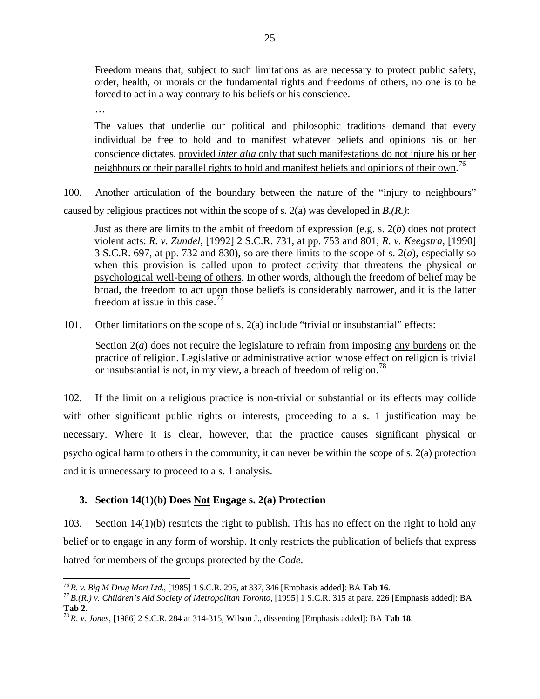Freedom means that, subject to such limitations as are necessary to protect public safety, order, health, or morals or the fundamental rights and freedoms of others, no one is to be forced to act in a way contrary to his beliefs or his conscience.

…

j

The values that underlie our political and philosophic traditions demand that every individual be free to hold and to manifest whatever beliefs and opinions his or her conscience dictates, provided *inter alia* only that such manifestations do not injure his or her neighbours or their parallel rights to hold and manifest beliefs and opinions of their own.<sup>[76](#page-30-1)</sup>

100. Another articulation of the boundary between the nature of the "injury to neighbours" caused by religious practices not within the scope of s. 2(a) was developed in *B.(R.)*:

Just as there are limits to the ambit of freedom of expression (e.g. s. 2(*b*) does not protect violent acts: *R. v. Zundel*, [1992] 2 S.C.R. 731, at pp. 753 and 801; *R. v. Keegstra*, [1990] 3 S.C.R. 697, at pp. 732 and 830), so are there limits to the scope of s. 2(*a*), especially so when this provision is called upon to protect activity that threatens the physical or psychological well-being of others. In other words, although the freedom of belief may be broad, the freedom to act upon those beliefs is considerably narrower, and it is the latter freedom at issue in this case.<sup>[77](#page-30-2)</sup>

101. Other limitations on the scope of s. 2(a) include "trivial or insubstantial" effects:

Section 2(*a*) does not require the legislature to refrain from imposing any burdens on the practice of religion. Legislative or administrative action whose effect on religion is trivial or insubstantial is not, in my view, a breach of freedom of religion.<sup>[78](#page-30-3)</sup>

102. If the limit on a religious practice is non-trivial or substantial or its effects may collide with other significant public rights or interests, proceeding to a s. 1 justification may be necessary. Where it is clear, however, that the practice causes significant physical or psychological harm to others in the community, it can never be within the scope of s. 2(a) protection and it is unnecessary to proceed to a s. 1 analysis.

# **3. Section 14(1)(b) Does Not Engage s. 2(a) Protection**

<span id="page-30-0"></span>103. Section 14(1)(b) restricts the right to publish. This has no effect on the right to hold any belief or to engage in any form of worship. It only restricts the publication of beliefs that express hatred for members of the groups protected by the *Code*.

<span id="page-30-2"></span><span id="page-30-1"></span><sup>&</sup>lt;sup>76</sup> R. v. Big M Drug Mart Ltd., [1985] 1 S.C.R. 295, at 337, 346 [Emphasis added]: BA **Tab 16**.<br><sup>77</sup> B.(R.) v. Children's Aid Society of Metropolitan Toronto, [1995] 1 S.C.R. 315 at para. 226 [Emphasis added]: BA **Tab 2**. 78 *R. v. Jones*, [1986] 2 S.C.R. 284 at 314-315, Wilson J., dissenting [Emphasis added]: BA **Tab 18**.

<span id="page-30-3"></span>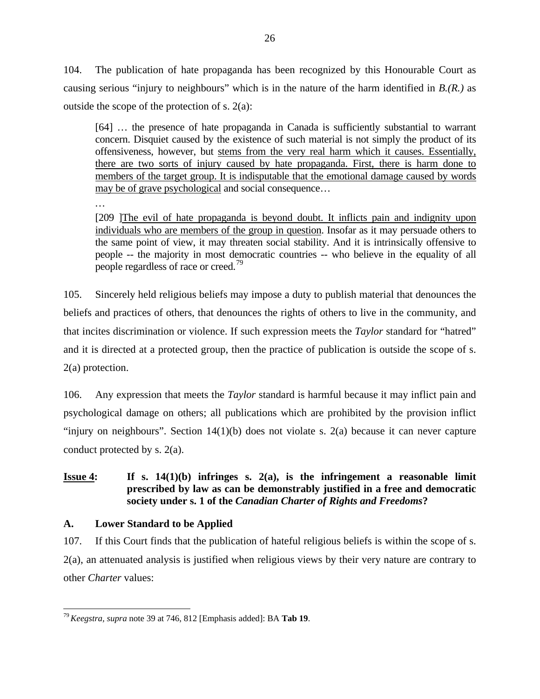104. The publication of hate propaganda has been recognized by this Honourable Court as causing serious "injury to neighbours" which is in the nature of the harm identified in *B.(R.)* as outside the scope of the protection of s.  $2(a)$ :

[64] … the presence of hate propaganda in Canada is sufficiently substantial to warrant concern. Disquiet caused by the existence of such material is not simply the product of its offensiveness, however, but stems from the very real harm which it causes. Essentially, there are two sorts of injury caused by hate propaganda. First, there is harm done to members of the target group. It is indisputable that the emotional damage caused by words may be of grave psychological and social consequence…

…

[209 ]The evil of hate propaganda is beyond doubt. It inflicts pain and indignity upon individuals who are members of the group in question. Insofar as it may persuade others to the same point of view, it may threaten social stability. And it is intrinsically offensive to people -- the majority in most democratic countries -- who believe in the equality of all people regardless of race or creed.<sup>[79](#page-31-2)</sup>

105. Sincerely held religious beliefs may impose a duty to publish material that denounces the beliefs and practices of others, that denounces the rights of others to live in the community, and that incites discrimination or violence. If such expression meets the *Taylor* standard for "hatred" and it is directed at a protected group, then the practice of publication is outside the scope of s. 2(a) protection.

106. Any expression that meets the *Taylor* standard is harmful because it may inflict pain and psychological damage on others; all publications which are prohibited by the provision inflict "injury on neighbours". Section 14(1)(b) does not violate s. 2(a) because it can never capture conduct protected by s. 2(a).

## <span id="page-31-0"></span>**Issue 4: If s. 14(1)(b) infringes s. 2(a), is the infringement a reasonable limit prescribed by law as can be demonstrably justified in a free and democratic society under s. 1 of the** *Canadian Charter of Rights and Freedoms***?**

# <span id="page-31-1"></span>**A. Lower Standard to be Applied**

j

107. If this Court finds that the publication of hateful religious beliefs is within the scope of s. 2(a), an attenuated analysis is justified when religious views by their very nature are contrary to other *Charter* values:

<span id="page-31-2"></span><sup>79</sup>*Keegstra, supra* note 39 at 746, 812 [Emphasis added]: BA **Tab 19**.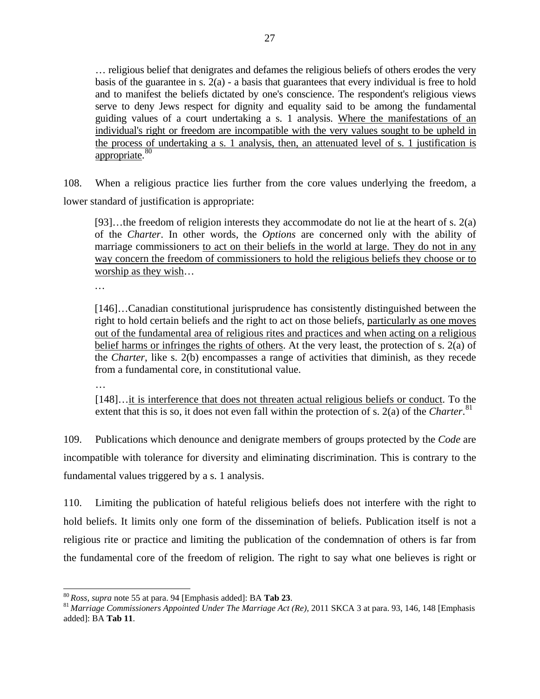… religious belief that denigrates and defames the religious beliefs of others erodes the very basis of the guarantee in s.  $2(a)$  - a basis that guarantees that every individual is free to hold and to manifest the beliefs dictated by one's conscience. The respondent's religious views serve to deny Jews respect for dignity and equality said to be among the fundamental guiding values of a court undertaking a s. 1 analysis. Where the manifestations of an individual's right or freedom are incompatible with the very values sought to be upheld in the process of undertaking a s. 1 analysis, then, an attenuated level of s. 1 justification is appropriate. [80](#page-32-0)

108. When a religious practice lies further from the core values underlying the freedom, a lower standard of justification is appropriate:

[93]…the freedom of religion interests they accommodate do not lie at the heart of s. 2(a) of the *Charter*. In other words, the *Options* are concerned only with the ability of marriage commissioners to act on their beliefs in the world at large. They do not in any way concern the freedom of commissioners to hold the religious beliefs they choose or to worship as they wish…

…

[146]…Canadian constitutional jurisprudence has consistently distinguished between the right to hold certain beliefs and the right to act on those beliefs, particularly as one moves out of the fundamental area of religious rites and practices and when acting on a religious belief harms or infringes the rights of others. At the very least, the protection of s. 2(a) of the *Charter*, like s. 2(b) encompasses a range of activities that diminish, as they recede from a fundamental core, in constitutional value.

…

1

[148]…it is interference that does not threaten actual religious beliefs or conduct. To the extent that this is so, it does not even fall within the protection of s. 2(a) of the *Charter*.<sup>[81](#page-32-1)</sup>

109. Publications which denounce and denigrate members of groups protected by the *Code* are incompatible with tolerance for diversity and eliminating discrimination. This is contrary to the fundamental values triggered by a s. 1 analysis.

110. Limiting the publication of hateful religious beliefs does not interfere with the right to hold beliefs. It limits only one form of the dissemination of beliefs. Publication itself is not a religious rite or practice and limiting the publication of the condemnation of others is far from the fundamental core of the freedom of religion. The right to say what one believes is right or

<span id="page-32-1"></span><span id="page-32-0"></span><sup>80</sup>*Ross*, *supra* note 55 at para. 94 [Emphasis added]: BA **Tab 23**. <sup>81</sup>*Marriage Commissioners Appointed Under The Marriage Act (Re),* 2011 SKCA 3 at para. 93, 146, 148 [Emphasis added]: BA **Tab 11**.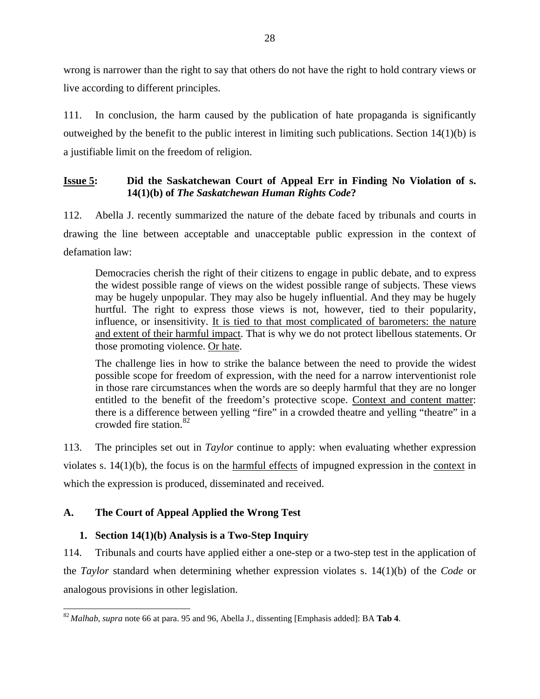wrong is narrower than the right to say that others do not have the right to hold contrary views or live according to different principles.

111. In conclusion, the harm caused by the publication of hate propaganda is significantly outweighed by the benefit to the public interest in limiting such publications. Section 14(1)(b) is a justifiable limit on the freedom of religion.

# <span id="page-33-0"></span>**Issue 5: Did the Saskatchewan Court of Appeal Err in Finding No Violation of s. 14(1)(b) of** *The Saskatchewan Human Rights Code***?**

112. Abella J. recently summarized the nature of the debate faced by tribunals and courts in drawing the line between acceptable and unacceptable public expression in the context of defamation law:

Democracies cherish the right of their citizens to engage in public debate, and to express the widest possible range of views on the widest possible range of subjects. These views may be hugely unpopular. They may also be hugely influential. And they may be hugely hurtful. The right to express those views is not, however, tied to their popularity, influence, or insensitivity. It is tied to that most complicated of barometers: the nature and extent of their harmful impact. That is why we do not protect libellous statements. Or those promoting violence. Or hate.

The challenge lies in how to strike the balance between the need to provide the widest possible scope for freedom of expression, with the need for a narrow interventionist role in those rare circumstances when the words are so deeply harmful that they are no longer entitled to the benefit of the freedom's protective scope. Context and content matter: there is a difference between yelling "fire" in a crowded theatre and yelling "theatre" in a crowded fire station.[82](#page-33-3)

113. The principles set out in *Taylor* continue to apply: when evaluating whether expression violates s. 14(1)(b), the focus is on the harmful effects of impugned expression in the context in which the expression is produced, disseminated and received.

# <span id="page-33-1"></span>**A. The Court of Appeal Applied the Wrong Test**

j

# **1. Section 14(1)(b) Analysis is a Two-Step Inquiry**

<span id="page-33-2"></span>114. Tribunals and courts have applied either a one-step or a two-step test in the application of the *Taylor* standard when determining whether expression violates s. 14(1)(b) of the *Code* or analogous provisions in other legislation.

<span id="page-33-3"></span><sup>82</sup>*Malhab, supra* note 66 at para. 95 and 96, Abella J., dissenting [Emphasis added]: BA **Tab 4**.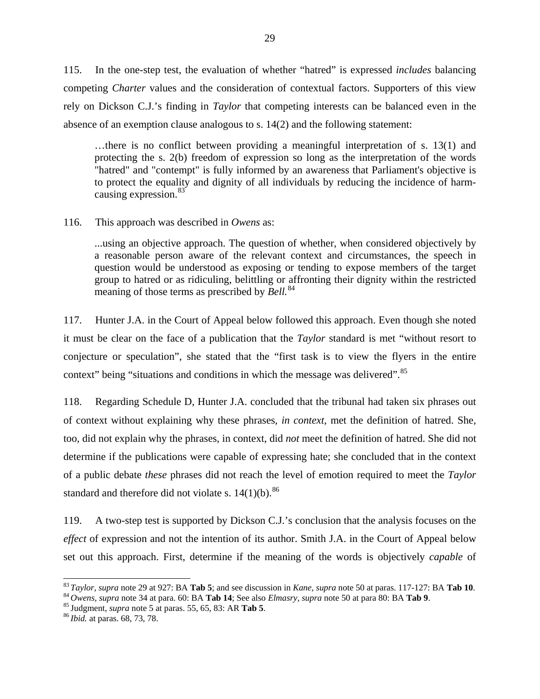115. In the one-step test, the evaluation of whether "hatred" is expressed *includes* balancing competing *Charter* values and the consideration of contextual factors. Supporters of this view rely on Dickson C.J.'s finding in *Taylor* that competing interests can be balanced even in the absence of an exemption clause analogous to s. 14(2) and the following statement:

…there is no conflict between providing a meaningful interpretation of s. 13(1) and protecting the s. 2(b) freedom of expression so long as the interpretation of the words "hatred" and "contempt" is fully informed by an awareness that Parliament's objective is to protect the equality and dignity of all individuals by reducing the incidence of harm-causing expression.<sup>[83](#page-34-0)</sup>

116. This approach was described in *Owens* as:

...using an objective approach. The question of whether, when considered objectively by a reasonable person aware of the relevant context and circumstances, the speech in question would be understood as exposing or tending to expose members of the target group to hatred or as ridiculing, belittling or affronting their dignity within the restricted meaning of those terms as prescribed by *Bell*.<sup>[84](#page-34-1)</sup>

117. Hunter J.A. in the Court of Appeal below followed this approach. Even though she noted it must be clear on the face of a publication that the *Taylor* standard is met "without resort to conjecture or speculation", she stated that the "first task is to view the flyers in the entire context" being "situations and conditions in which the message was delivered".<sup>[85](#page-34-2)</sup>

118. Regarding Schedule D, Hunter J.A. concluded that the tribunal had taken six phrases out of context without explaining why these phrases, *in context*, met the definition of hatred. She, too, did not explain why the phrases, in context, did *not* meet the definition of hatred. She did not determine if the publications were capable of expressing hate; she concluded that in the context of a public debate *these* phrases did not reach the level of emotion required to meet the *Taylor*  standard and therefore did not violate s.  $14(1)(b)$ .<sup>[86](#page-34-3)</sup>

119. A two-step test is supported by Dickson C.J.'s conclusion that the analysis focuses on the *effect* of expression and not the intention of its author. Smith J.A. in the Court of Appeal below set out this approach. First, determine if the meaning of the words is objectively *capable* of

<span id="page-34-0"></span><sup>&</sup>lt;sup>83</sup> Taylor, supra note 29 at 927: BA Tab 5; and see discussion in *Kane*, supra note 50 at paras. 117-127: BA Tab 10.<br><sup>84</sup> Owens, supra note 34 at para. 60: BA Tab 14; See also *Elmasry*, supra note 50 at para 80: BA Tab

<span id="page-34-1"></span>

<span id="page-34-2"></span>

<span id="page-34-3"></span>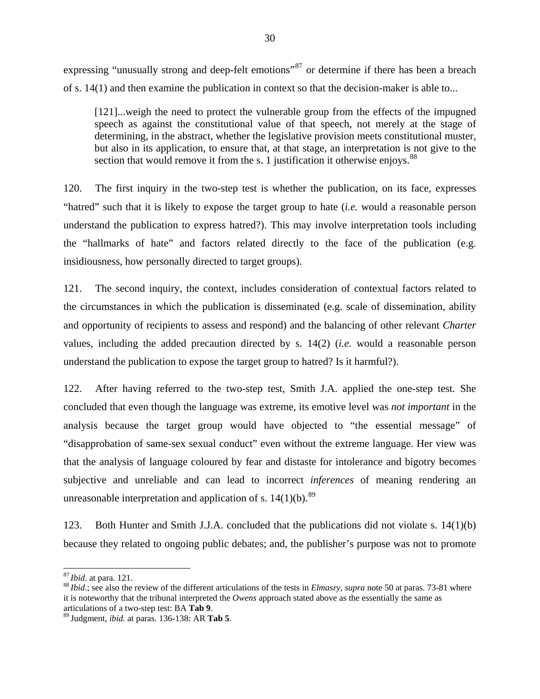expressing "unusually strong and deep-felt emotions"<sup>87</sup> or determine if there has been a breach of s. 14(1) and then examine the publication in context so that the decision-maker is able to...

[121]...weigh the need to protect the vulnerable group from the effects of the impugned speech as against the constitutional value of that speech, not merely at the stage of determining, in the abstract, whether the legislative provision meets constitutional muster, but also in its application, to ensure that, at that stage, an interpretation is not give to the section that would remove it from the s. 1 justification it otherwise enjoys.<sup>[88](#page-35-0)</sup>

120. The first inquiry in the two-step test is whether the publication, on its face, expresses "hatred" such that it is likely to expose the target group to hate (*i.e.* would a reasonable person understand the publication to express hatred?). This may involve interpretation tools including the "hallmarks of hate" and factors related directly to the face of the publication (e.g. insidiousness, how personally directed to target groups).

121. The second inquiry, the context, includes consideration of contextual factors related to the circumstances in which the publication is disseminated (e.g. scale of dissemination, ability and opportunity of recipients to assess and respond) and the balancing of other relevant *Charter*  values, including the added precaution directed by s. 14(2) (*i.e.* would a reasonable person understand the publication to expose the target group to hatred? Is it harmful?).

122. After having referred to the two-step test, Smith J.A. applied the one-step test. She concluded that even though the language was extreme, its emotive level was *not important* in the analysis because the target group would have objected to "the essential message" of "disapprobation of same-sex sexual conduct" even without the extreme language. Her view was that the analysis of language coloured by fear and distaste for intolerance and bigotry becomes subjective and unreliable and can lead to incorrect *inferences* of meaning rendering an unreasonable interpretation and application of s.  $14(1)(b)$ .<sup>[89](#page-35-1)</sup>

123. Both Hunter and Smith J.J.A. concluded that the publications did not violate s. 14(1)(b) because they related to ongoing public debates; and, the publisher's purpose was not to promote

<span id="page-35-0"></span><sup>&</sup>lt;sup>87</sup>*Ibid*. at para. 121.<br><sup>88</sup>*Ibid*.; see also the review of the different articulations of the tests in *Elmasry, supra* note 50 at paras. 73-81 where it is noteworthy that the tribunal interpreted the *Owens* approach stated above as the essentially the same as articulations of a two-step test: BA **Tab 9**. 89 Judgment, *ibid.* at paras. 136-138: AR **Tab 5**.

<span id="page-35-1"></span>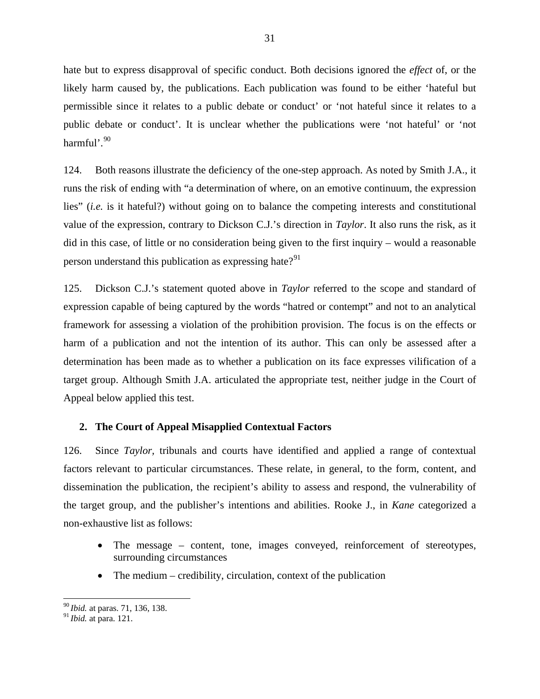hate but to express disapproval of specific conduct. Both decisions ignored the *effect* of, or the likely harm caused by, the publications. Each publication was found to be either 'hateful but permissible since it relates to a public debate or conduct' or 'not hateful since it relates to a public debate or conduct'. It is unclear whether the publications were 'not hateful' or 'not harmful'.90

124. Both reasons illustrate the deficiency of the one-step approach. As noted by Smith J.A., it runs the risk of ending with "a determination of where, on an emotive continuum, the expression lies" (*i.e.* is it hateful?) without going on to balance the competing interests and constitutional value of the expression, contrary to Dickson C.J.'s direction in *Taylor*. It also runs the risk, as it did in this case, of little or no consideration being given to the first inquiry – would a reasonable person understand this publication as expressing hate? $91$ 

125. Dickson C.J.'s statement quoted above in *Taylor* referred to the scope and standard of expression capable of being captured by the words "hatred or contempt" and not to an analytical framework for assessing a violation of the prohibition provision. The focus is on the effects or harm of a publication and not the intention of its author. This can only be assessed after a determination has been made as to whether a publication on its face expresses vilification of a target group. Although Smith J.A. articulated the appropriate test, neither judge in the Court of Appeal below applied this test.

#### **2. The Court of Appeal Misapplied Contextual Factors**

<span id="page-36-0"></span>126. Since *Taylor,* tribunals and courts have identified and applied a range of contextual factors relevant to particular circumstances. These relate, in general, to the form, content, and dissemination the publication, the recipient's ability to assess and respond, the vulnerability of the target group, and the publisher's intentions and abilities. Rooke J., in *Kane* categorized a non-exhaustive list as follows:

- The message content, tone, images conveyed, reinforcement of stereotypes, surrounding circumstances
- The medium credibility, circulation, context of the publication

<sup>90</sup>*Ibid.* at paras. 71, 136, 138.

<span id="page-36-1"></span><sup>91</sup>*Ibid.* at para. 121.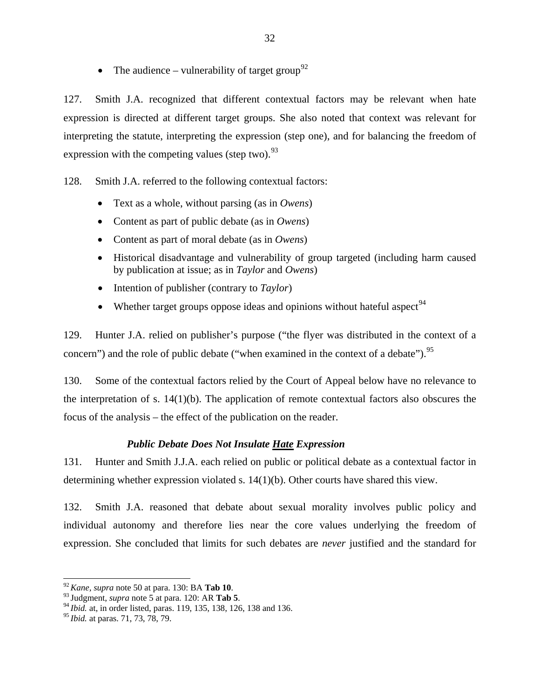• The audience – vulnerability of target group<sup>[92](#page-37-1)</sup>

127. Smith J.A. recognized that different contextual factors may be relevant when hate expression is directed at different target groups. She also noted that context was relevant for interpreting the statute, interpreting the expression (step one), and for balancing the freedom of expression with the competing values (step two).  $93$ 

128. Smith J.A. referred to the following contextual factors:

- Text as a whole, without parsing (as in *Owens*)
- Content as part of public debate (as in *Owens*)
- Content as part of moral debate (as in *Owens*)
- Historical disadvantage and vulnerability of group targeted (including harm caused by publication at issue; as in *Taylor* and *Owens*)
- Intention of publisher (contrary to *Taylor*)
- Whether target groups oppose ideas and opinions without hateful aspect<sup>[94](#page-37-3)</sup>

129. Hunter J.A. relied on publisher's purpose ("the flyer was distributed in the context of a concern") and the role of public debate ("when examined in the context of a debate").  $95$ 

130. Some of the contextual factors relied by the Court of Appeal below have no relevance to the interpretation of s.  $14(1)(b)$ . The application of remote contextual factors also obscures the focus of the analysis – the effect of the publication on the reader.

# *Public Debate Does Not Insulate Hate Expression*

<span id="page-37-0"></span>131. Hunter and Smith J.J.A. each relied on public or political debate as a contextual factor in determining whether expression violated s. 14(1)(b). Other courts have shared this view.

132. Smith J.A. reasoned that debate about sexual morality involves public policy and individual autonomy and therefore lies near the core values underlying the freedom of expression. She concluded that limits for such debates are *never* justified and the standard for

<sup>92</sup>*Kane, supra* note 50 at para. 130: BA **Tab 10**.

<span id="page-37-3"></span><span id="page-37-2"></span><span id="page-37-1"></span><sup>93</sup> Judgment, *supra* note 5 at para. 120: AR **Tab 5**. <sup>94</sup>*Ibid.* at, in order listed, paras. 119, 135, 138, 126, 138 and 136.

<span id="page-37-4"></span><sup>95</sup>*Ibid.* at paras. 71, 73, 78, 79.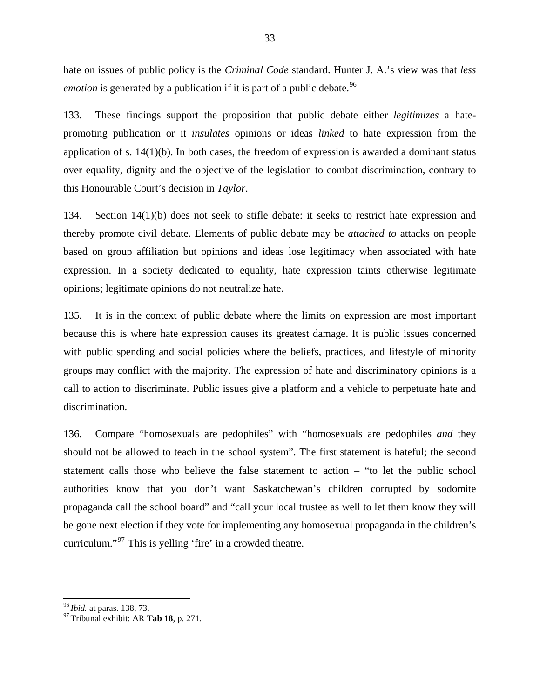hate on issues of public policy is the *Criminal Code* standard. Hunter J. A.'s view was that *less emotion* is generated by a publication if it is part of a public debate.<sup>96</sup>

133. These findings support the proposition that public debate either *legitimizes* a hatepromoting publication or it *insulates* opinions or ideas *linked* to hate expression from the application of s. 14(1)(b). In both cases, the freedom of expression is awarded a dominant status over equality, dignity and the objective of the legislation to combat discrimination, contrary to this Honourable Court's decision in *Taylor*.

134. Section 14(1)(b) does not seek to stifle debate: it seeks to restrict hate expression and thereby promote civil debate. Elements of public debate may be *attached to* attacks on people based on group affiliation but opinions and ideas lose legitimacy when associated with hate expression. In a society dedicated to equality, hate expression taints otherwise legitimate opinions; legitimate opinions do not neutralize hate.

135. It is in the context of public debate where the limits on expression are most important because this is where hate expression causes its greatest damage. It is public issues concerned with public spending and social policies where the beliefs, practices, and lifestyle of minority groups may conflict with the majority. The expression of hate and discriminatory opinions is a call to action to discriminate. Public issues give a platform and a vehicle to perpetuate hate and discrimination.

136. Compare "homosexuals are pedophiles" with "homosexuals are pedophiles *and* they should not be allowed to teach in the school system". The first statement is hateful; the second statement calls those who believe the false statement to action – "to let the public school authorities know that you don't want Saskatchewan's children corrupted by sodomite propaganda call the school board" and "call your local trustee as well to let them know they will be gone next election if they vote for implementing any homosexual propaganda in the children's curriculum."[97](#page-38-0) This is yelling 'fire' in a crowded theatre.

<span id="page-38-0"></span><sup>96</sup>*Ibid.* at paras. 138, 73. 97 Tribunal exhibit: AR **Tab 18**, p. 271.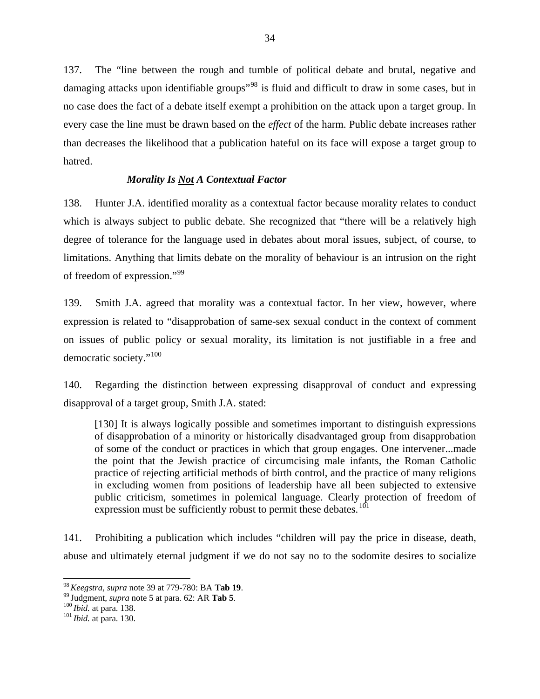137. The "line between the rough and tumble of political debate and brutal, negative and damaging attacks upon identifiable groups<sup> $38$ </sup> is fluid and difficult to draw in some cases, but in no case does the fact of a debate itself exempt a prohibition on the attack upon a target group. In every case the line must be drawn based on the *effect* of the harm. Public debate increases rather than decreases the likelihood that a publication hateful on its face will expose a target group to hatred.

## *Morality Is Not A Contextual Factor*

<span id="page-39-0"></span>138. Hunter J.A. identified morality as a contextual factor because morality relates to conduct which is always subject to public debate. She recognized that "there will be a relatively high degree of tolerance for the language used in debates about moral issues, subject, of course, to limitations. Anything that limits debate on the morality of behaviour is an intrusion on the right of freedom of expression."[99](#page-39-2)

139. Smith J.A. agreed that morality was a contextual factor. In her view, however, where expression is related to "disapprobation of same-sex sexual conduct in the context of comment on issues of public policy or sexual morality, its limitation is not justifiable in a free and democratic society."<sup>[100](#page-39-3)</sup>

140. Regarding the distinction between expressing disapproval of conduct and expressing disapproval of a target group, Smith J.A. stated:

[130] It is always logically possible and sometimes important to distinguish expressions of disapprobation of a minority or historically disadvantaged group from disapprobation of some of the conduct or practices in which that group engages. One intervener...made the point that the Jewish practice of circumcising male infants, the Roman Catholic practice of rejecting artificial methods of birth control, and the practice of many religions in excluding women from positions of leadership have all been subjected to extensive public criticism, sometimes in polemical language. Clearly protection of freedom of expression must be sufficiently robust to permit these debates.<sup>[101](#page-39-4)</sup>

141. Prohibiting a publication which includes "children will pay the price in disease, death, abuse and ultimately eternal judgment if we do not say no to the sodomite desires to socialize

<span id="page-39-2"></span><span id="page-39-1"></span><sup>98</sup>*Keegstra, supra* note 39 at 779-780: BA **Tab 19**. 99 Judgment, *supra* note 5 at para. 62: AR **Tab 5**. <sup>100</sup>*Ibid.* at para. 138. <sup>101</sup>*Ibid.* at para. 130.

<span id="page-39-4"></span><span id="page-39-3"></span>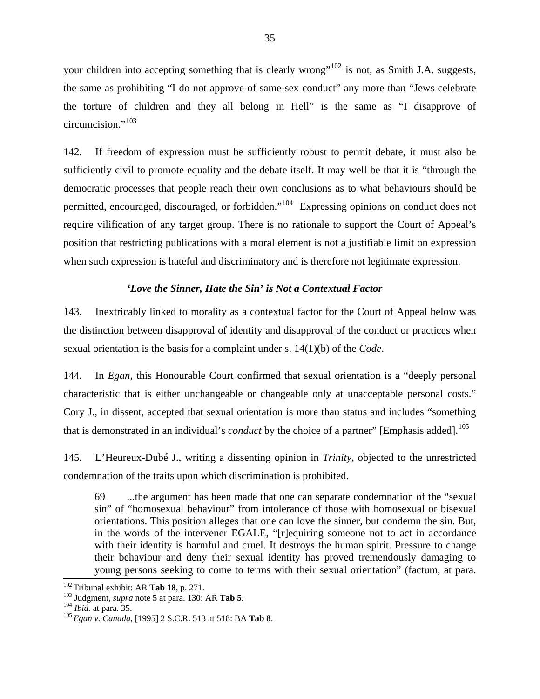your children into accepting something that is clearly wrong"<sup>102</sup> is not, as Smith J.A. suggests, the same as prohibiting "I do not approve of same-sex conduct" any more than "Jews celebrate the torture of children and they all belong in Hell" is the same as "I disapprove of circumcision."<sup>103</sup>

142. If freedom of expression must be sufficiently robust to permit debate, it must also be sufficiently civil to promote equality and the debate itself. It may well be that it is "through the democratic processes that people reach their own conclusions as to what behaviours should be permitted, encouraged, discouraged, or forbidden."[104](#page-40-1) Expressing opinions on conduct does not require vilification of any target group. There is no rationale to support the Court of Appeal's position that restricting publications with a moral element is not a justifiable limit on expression when such expression is hateful and discriminatory and is therefore not legitimate expression.

### *'Love the Sinner, Hate the Sin' is Not a Contextual Factor*

<span id="page-40-0"></span>143. Inextricably linked to morality as a contextual factor for the Court of Appeal below was the distinction between disapproval of identity and disapproval of the conduct or practices when sexual orientation is the basis for a complaint under s. 14(1)(b) of the *Code*.

144. In *Egan*, this Honourable Court confirmed that sexual orientation is a "deeply personal characteristic that is either unchangeable or changeable only at unacceptable personal costs." Cory J., in dissent, accepted that sexual orientation is more than status and includes "something that is demonstrated in an individual's *conduct* by the choice of a partner" [Emphasis added].<sup>[105](#page-40-2)</sup>

145. L'Heureux-Dubé J., writing a dissenting opinion in *Trinity*, objected to the unrestricted condemnation of the traits upon which discrimination is prohibited.

69 ...the argument has been made that one can separate condemnation of the "sexual sin" of "homosexual behaviour" from intolerance of those with homosexual or bisexual orientations. This position alleges that one can love the sinner, but condemn the sin. But, in the words of the intervener EGALE, "[r]equiring someone not to act in accordance with their identity is harmful and cruel. It destroys the human spirit. Pressure to change their behaviour and deny their sexual identity has proved tremendously damaging to young persons seeking to come to terms with their sexual orientation" (factum, at para.

<sup>&</sup>lt;sup>102</sup> Tribunal exhibit: AR **Tab 18**, p. 271.<br><sup>103</sup> Judgment, *supra* note 5 at para. 130: AR **Tab 5**.

<span id="page-40-2"></span><span id="page-40-1"></span><sup>104</sup> *Ibid.* at para. 35. <sup>105</sup>*Egan v. Canada*, [1995] 2 S.C.R. 513 at 518: BA **Tab 8**.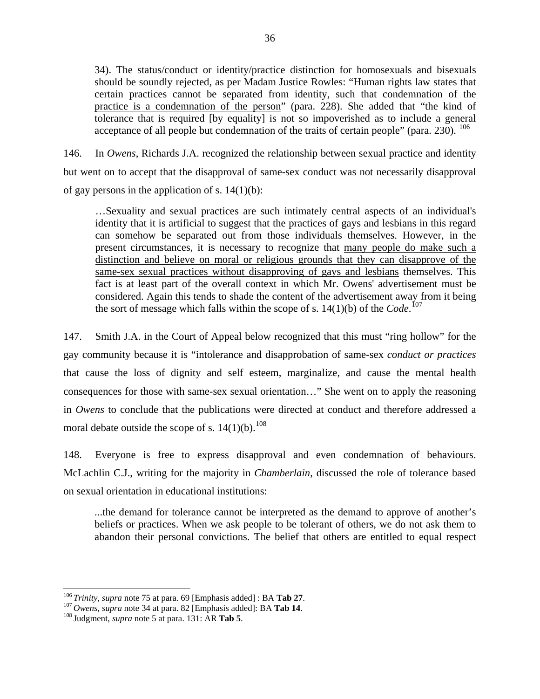34). The status/conduct or identity/practice distinction for homosexuals and bisexuals should be soundly rejected, as per Madam Justice Rowles: "Human rights law states that certain practices cannot be separated from identity, such that condemnation of the practice is a condemnation of the person" (para. 228). She added that "the kind of tolerance that is required [by equality] is not so impoverished as to include a general acceptance of all people but condemnation of the traits of certain people" (para. 230). <sup>[106](#page-41-0)</sup>

146. In *Owens*, Richards J.A. recognized the relationship between sexual practice and identity but went on to accept that the disapproval of same-sex conduct was not necessarily disapproval of gay persons in the application of s.  $14(1)(b)$ :

…Sexuality and sexual practices are such intimately central aspects of an individual's identity that it is artificial to suggest that the practices of gays and lesbians in this regard can somehow be separated out from those individuals themselves. However, in the present circumstances, it is necessary to recognize that many people do make such a distinction and believe on moral or religious grounds that they can disapprove of the same-sex sexual practices without disapproving of gays and lesbians themselves. This fact is at least part of the overall context in which Mr. Owens' advertisement must be considered. Again this tends to shade the content of the advertisement away from it being the sort of message which falls within the scope of s.  $14(1)(b)$  of the *Code*.<sup>[107](#page-41-1)</sup>

147. Smith J.A. in the Court of Appeal below recognized that this must "ring hollow" for the gay community because it is "intolerance and disapprobation of same-sex *conduct or practices* that cause the loss of dignity and self esteem, marginalize, and cause the mental health consequences for those with same-sex sexual orientation…" She went on to apply the reasoning in *Owens* to conclude that the publications were directed at conduct and therefore addressed a moral debate outside the scope of s.  $14(1)(b)$ .<sup>[108](#page-41-2)</sup>

148. Everyone is free to express disapproval and even condemnation of behaviours. McLachlin C.J., writing for the majority in *Chamberlain*, discussed the role of tolerance based on sexual orientation in educational institutions:

...the demand for tolerance cannot be interpreted as the demand to approve of another's beliefs or practices. When we ask people to be tolerant of others, we do not ask them to abandon their personal convictions. The belief that others are entitled to equal respect

<span id="page-41-0"></span><sup>&</sup>lt;sup>106</sup> Trinity, supra note 75 at para. 69 [Emphasis added] : BA **Tab 27**.<br><sup>107</sup> Owens, supra note 34 at para. 82 [Emphasis added]: BA **Tab 14**.<br><sup>108</sup> Judgment, supra note 5 at para. 131: AR **Tab 5**.

<span id="page-41-1"></span>

<span id="page-41-2"></span>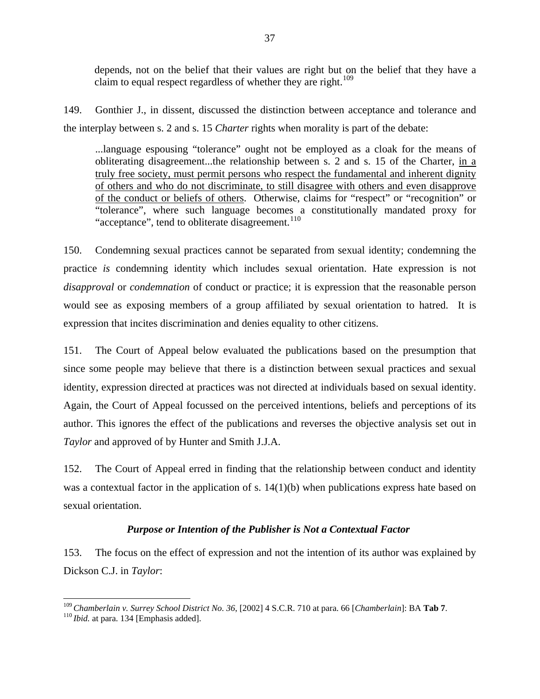depends, not on the belief that their values are right but on the belief that they have a claim to equal respect regardless of whether they are right.<sup>[109](#page-42-1)</sup>

149. Gonthier J., in dissent, discussed the distinction between acceptance and tolerance and the interplay between s. 2 and s. 15 *Charter* rights when morality is part of the debate:

...language espousing "tolerance" ought not be employed as a cloak for the means of obliterating disagreement...the relationship between s. 2 and s. 15 of the Charter, in a truly free society, must permit persons who respect the fundamental and inherent dignity of others and who do not discriminate, to still disagree with others and even disapprove of the conduct or beliefs of others. Otherwise, claims for "respect" or "recognition" or "tolerance", where such language becomes a constitutionally mandated proxy for "acceptance", tend to obliterate disagreement. $110$ 

150. Condemning sexual practices cannot be separated from sexual identity; condemning the practice *is* condemning identity which includes sexual orientation. Hate expression is not *disapproval* or *condemnation* of conduct or practice; it is expression that the reasonable person would see as exposing members of a group affiliated by sexual orientation to hatred. It is expression that incites discrimination and denies equality to other citizens.

151. The Court of Appeal below evaluated the publications based on the presumption that since some people may believe that there is a distinction between sexual practices and sexual identity, expression directed at practices was not directed at individuals based on sexual identity. Again, the Court of Appeal focussed on the perceived intentions, beliefs and perceptions of its author. This ignores the effect of the publications and reverses the objective analysis set out in *Taylor* and approved of by Hunter and Smith J.J.A.

152. The Court of Appeal erred in finding that the relationship between conduct and identity was a contextual factor in the application of s.  $14(1)(b)$  when publications express hate based on sexual orientation.

#### *Purpose or Intention of the Publisher is Not a Contextual Factor*

<span id="page-42-0"></span>153. The focus on the effect of expression and not the intention of its author was explained by Dickson C.J. in *Taylor*:

<span id="page-42-2"></span><span id="page-42-1"></span><sup>109</sup>*Chamberlain v. Surrey School District No. 36*, [2002] 4 S.C.R. 710 at para. 66 [*Chamberlain*]: BA **Tab 7**. 110 *Ibid.* at para. 134 [Emphasis added].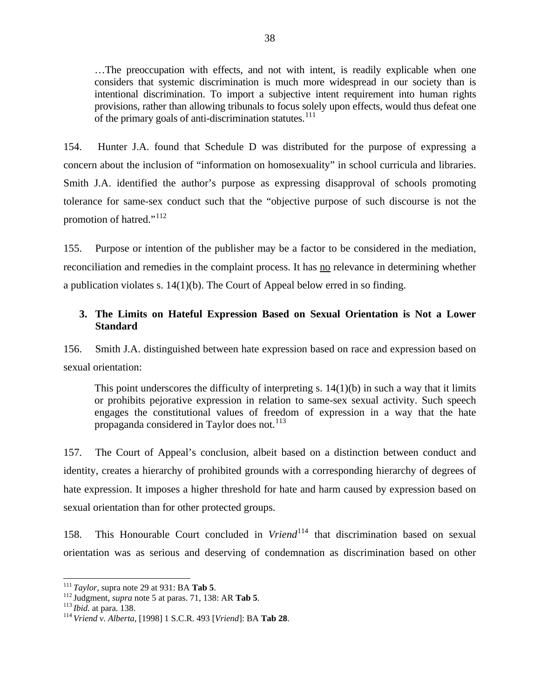…The preoccupation with effects, and not with intent, is readily explicable when one considers that systemic discrimination is much more widespread in our society than is intentional discrimination. To import a subjective intent requirement into human rights provisions, rather than allowing tribunals to focus solely upon effects, would thus defeat one of the primary goals of anti-discrimination statutes.<sup>[111](#page-43-1)</sup>

154. Hunter J.A. found that Schedule D was distributed for the purpose of expressing a concern about the inclusion of "information on homosexuality" in school curricula and libraries. Smith J.A. identified the author's purpose as expressing disapproval of schools promoting tolerance for same-sex conduct such that the "objective purpose of such discourse is not the promotion of hatred."<sup>[112](#page-43-2)</sup>

155. Purpose or intention of the publisher may be a factor to be considered in the mediation, reconciliation and remedies in the complaint process. It has no relevance in determining whether a publication violates s. 14(1)(b). The Court of Appeal below erred in so finding.

## **3. The Limits on Hateful Expression Based on Sexual Orientation is Not a Lower Standard**

<span id="page-43-0"></span>156. Smith J.A. distinguished between hate expression based on race and expression based on sexual orientation:

This point underscores the difficulty of interpreting s.  $14(1)(b)$  in such a way that it limits or prohibits pejorative expression in relation to same-sex sexual activity. Such speech engages the constitutional values of freedom of expression in a way that the hate propaganda considered in Taylor does not.<sup>[113](#page-43-3)</sup>

157. The Court of Appeal's conclusion, albeit based on a distinction between conduct and identity, creates a hierarchy of prohibited grounds with a corresponding hierarchy of degrees of hate expression. It imposes a higher threshold for hate and harm caused by expression based on sexual orientation than for other protected groups.

158. This Honourable Court concluded in Vriend<sup>[114](#page-43-4)</sup> that discrimination based on sexual orientation was as serious and deserving of condemnation as discrimination based on other

<span id="page-43-2"></span><span id="page-43-1"></span><sup>&</sup>lt;sup>111</sup> Taylor, supra note 29 at 931: BA **Tab 5**.<br><sup>112</sup> Judgment, *supra* note 5 at paras. 71, 138: AR **Tab 5**.<br><sup>113</sup> Ibid. at para. 138.<br><sup>114</sup> Vriend v. Alberta. [1998] 1 S.C.R. 493 [Vriend]: BA **Tab 28**.

<span id="page-43-3"></span>

<span id="page-43-4"></span>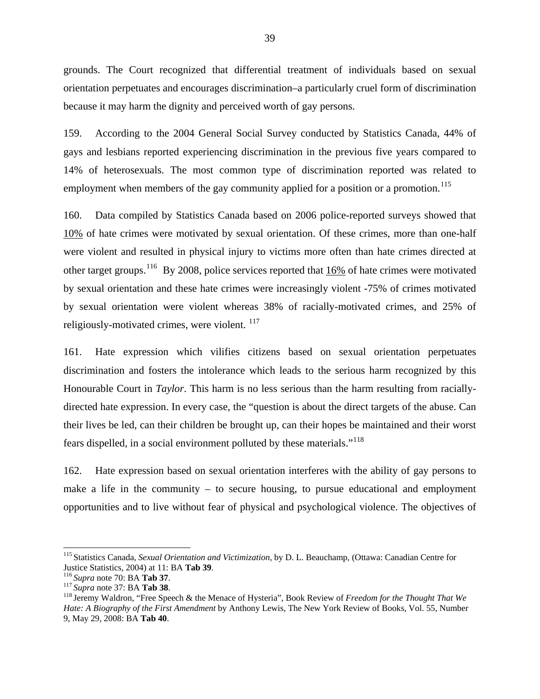grounds. The Court recognized that differential treatment of individuals based on sexual orientation perpetuates and encourages discrimination–a particularly cruel form of discrimination because it may harm the dignity and perceived worth of gay persons.

159. According to the 2004 General Social Survey conducted by Statistics Canada, 44% of gays and lesbians reported experiencing discrimination in the previous five years compared to 14% of heterosexuals. The most common type of discrimination reported was related to employment when members of the gay community applied for a position or a promotion.<sup>[115](#page-44-0)</sup>

160. Data compiled by Statistics Canada based on 2006 police-reported surveys showed that 10% of hate crimes were motivated by sexual orientation. Of these crimes, more than one-half were violent and resulted in physical injury to victims more often than hate crimes directed at other target groups.<sup>[116](#page-44-1)</sup> By 2008, police services reported that 16% of hate crimes were motivated by sexual orientation and these hate crimes were increasingly violent -75% of crimes motivated by sexual orientation were violent whereas 38% of racially-motivated crimes, and 25% of religiously-motivated crimes, were violent. <sup>[117](#page-44-2)</sup>

161. Hate expression which vilifies citizens based on sexual orientation perpetuates discrimination and fosters the intolerance which leads to the serious harm recognized by this Honourable Court in *Taylor*. This harm is no less serious than the harm resulting from raciallydirected hate expression. In every case, the "question is about the direct targets of the abuse. Can their lives be led, can their children be brought up, can their hopes be maintained and their worst fears dispelled, in a social environment polluted by these materials."[118](#page-44-3)

162. Hate expression based on sexual orientation interferes with the ability of gay persons to make a life in the community – to secure housing, to pursue educational and employment opportunities and to live without fear of physical and psychological violence. The objectives of

<span id="page-44-0"></span><sup>&</sup>lt;sup>115</sup> Statistics Canada, *Sexual Orientation and Victimization*, by D. L. Beauchamp, (Ottawa: Canadian Centre for Justice Statistics, 2004) at 11: BA Tab 39.

<span id="page-44-3"></span><span id="page-44-2"></span>

<span id="page-44-1"></span><sup>&</sup>lt;sup>116</sup> Supra note 70: BA **Tab 37**.<br><sup>117</sup> Supra note 37: BA **Tab 38**.<br><sup>118</sup> Jeremy Waldron, "Free Speech & the Menace of Hysteria", Book Review of *Freedom for the Thought That We Hate: A Biography of the First Amendment* by Anthony Lewis, The New York Review of Books, Vol. 55, Number 9, May 29, 2008: BA **Tab 40**.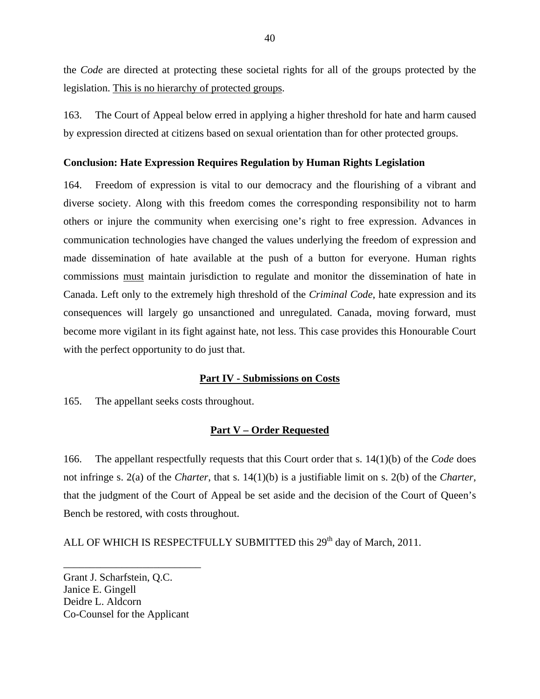the *Code* are directed at protecting these societal rights for all of the groups protected by the legislation. This is no hierarchy of protected groups.

163. The Court of Appeal below erred in applying a higher threshold for hate and harm caused by expression directed at citizens based on sexual orientation than for other protected groups.

#### **Conclusion: Hate Expression Requires Regulation by Human Rights Legislation**

164. Freedom of expression is vital to our democracy and the flourishing of a vibrant and diverse society. Along with this freedom comes the corresponding responsibility not to harm others or injure the community when exercising one's right to free expression. Advances in communication technologies have changed the values underlying the freedom of expression and made dissemination of hate available at the push of a button for everyone. Human rights commissions must maintain jurisdiction to regulate and monitor the dissemination of hate in Canada. Left only to the extremely high threshold of the *Criminal Code*, hate expression and its consequences will largely go unsanctioned and unregulated. Canada, moving forward, must become more vigilant in its fight against hate, not less. This case provides this Honourable Court with the perfect opportunity to do just that.

### **Part IV - Submissions on Costs**

<span id="page-45-1"></span><span id="page-45-0"></span>165. The appellant seeks costs throughout.

### **Part V – Order Requested**

166. The appellant respectfully requests that this Court order that s. 14(1)(b) of the *Code* does not infringe s. 2(a) of the *Charter*, that s. 14(1)(b) is a justifiable limit on s. 2(b) of the *Charter,*  that the judgment of the Court of Appeal be set aside and the decision of the Court of Queen's Bench be restored, with costs throughout.

ALL OF WHICH IS RESPECTFULLY SUBMITTED this 29<sup>th</sup> day of March, 2011.

Grant J. Scharfstein, Q.C. Janice E. Gingell Deidre L. Aldcorn Co-Counsel for the Applicant

\_\_\_\_\_\_\_\_\_\_\_\_\_\_\_\_\_\_\_\_\_\_\_\_\_\_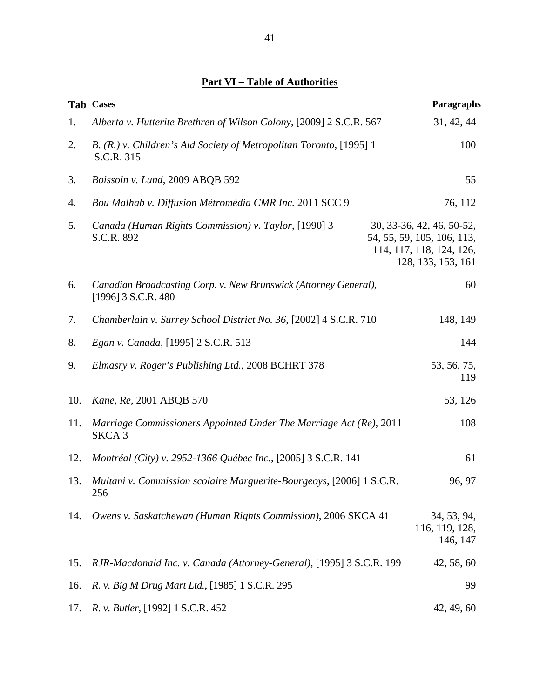# **Part VI – Table of Authorities**

<span id="page-46-0"></span>

|     | <b>Tab Cases</b>                                                                        | Paragraphs                                                                                                |
|-----|-----------------------------------------------------------------------------------------|-----------------------------------------------------------------------------------------------------------|
| 1.  | Alberta v. Hutterite Brethren of Wilson Colony, [2009] 2 S.C.R. 567                     | 31, 42, 44                                                                                                |
| 2.  | B. (R.) v. Children's Aid Society of Metropolitan Toronto, [1995] 1<br>S.C.R. 315       | 100                                                                                                       |
| 3.  | Boissoin v. Lund, 2009 ABQB 592                                                         | 55                                                                                                        |
| 4.  | Bou Malhab v. Diffusion Métromédia CMR Inc. 2011 SCC 9                                  | 76, 112                                                                                                   |
| 5.  | Canada (Human Rights Commission) v. Taylor, [1990] 3<br>S.C.R. 892                      | 30, 33-36, 42, 46, 50-52,<br>54, 55, 59, 105, 106, 113,<br>114, 117, 118, 124, 126,<br>128, 133, 153, 161 |
| 6.  | Canadian Broadcasting Corp. v. New Brunswick (Attorney General),<br>[1996] 3 S.C.R. 480 | 60                                                                                                        |
| 7.  | Chamberlain v. Surrey School District No. 36, [2002] 4 S.C.R. 710                       | 148, 149                                                                                                  |
| 8.  | Egan v. Canada, [1995] 2 S.C.R. 513                                                     | 144                                                                                                       |
| 9.  | Elmasry v. Roger's Publishing Ltd., 2008 BCHRT 378                                      | 53, 56, 75,<br>119                                                                                        |
| 10. | Kane, Re, 2001 ABQB 570                                                                 | 53, 126                                                                                                   |
| 11. | Marriage Commissioners Appointed Under The Marriage Act (Re), 2011<br>SKCA <sub>3</sub> | 108                                                                                                       |
| 12. | Montréal (City) v. 2952-1366 Québec Inc., [2005] 3 S.C.R. 141                           | 61                                                                                                        |
| 13. | Multani v. Commission scolaire Marguerite-Bourgeoys, [2006] 1 S.C.R.<br>256             | 96, 97                                                                                                    |
| 14. | Owens v. Saskatchewan (Human Rights Commission), 2006 SKCA 41                           | 34, 53, 94,<br>116, 119, 128,<br>146, 147                                                                 |
| 15. | RJR-Macdonald Inc. v. Canada (Attorney-General), [1995] 3 S.C.R. 199                    | 42, 58, 60                                                                                                |
| 16. | R. v. Big M Drug Mart Ltd., [1985] 1 S.C.R. 295                                         | 99                                                                                                        |
| 17. | R. v. Butler, [1992] 1 S.C.R. 452                                                       | 42, 49, 60                                                                                                |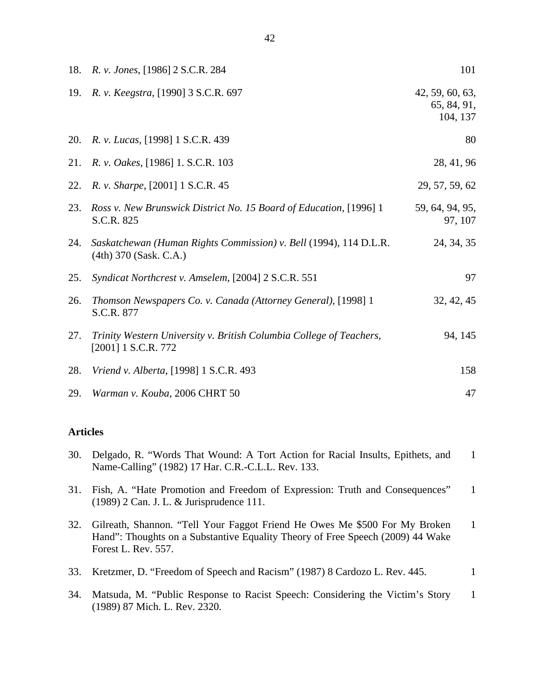| 18. | R. v. Jones, [1986] 2 S.C.R. 284                                                              | 101                                        |
|-----|-----------------------------------------------------------------------------------------------|--------------------------------------------|
| 19. | R. v. Keegstra, [1990] 3 S.C.R. 697                                                           | 42, 59, 60, 63,<br>65, 84, 91,<br>104, 137 |
| 20. | R. v. Lucas, [1998] 1 S.C.R. 439                                                              | 80                                         |
| 21. | R. v. Oakes, [1986] 1. S.C.R. 103                                                             | 28, 41, 96                                 |
| 22. | R. v. Sharpe, [2001] 1 S.C.R. 45                                                              | 29, 57, 59, 62                             |
| 23. | Ross v. New Brunswick District No. 15 Board of Education, [1996] 1<br>S.C.R. 825              | 59, 64, 94, 95,<br>97, 107                 |
| 24. | Saskatchewan (Human Rights Commission) v. Bell (1994), 114 D.L.R.<br>$(4th)$ 370 (Sask. C.A.) | 24, 34, 35                                 |
| 25. | Syndicat Northcrest v. Amselem, [2004] 2 S.C.R. 551                                           | 97                                         |
| 26. | Thomson Newspapers Co. v. Canada (Attorney General), [1998] 1<br>S.C.R. 877                   | 32, 42, 45                                 |
| 27. | Trinity Western University v. British Columbia College of Teachers,<br>[2001] 1 S.C.R. 772    | 94, 145                                    |
| 28. | Vriend v. Alberta, [1998] 1 S.C.R. 493                                                        | 158                                        |
| 29. | Warman v. Kouba, 2006 CHRT 50                                                                 | 47                                         |

# **Articles**

| 30. | Delgado, R. "Words That Wound: A Tort Action for Racial Insults, Epithets, and<br>Name-Calling" (1982) 17 Har. C.R.-C.L.L. Rev. 133.                                                | 1 |
|-----|-------------------------------------------------------------------------------------------------------------------------------------------------------------------------------------|---|
| 31. | Fish, A. "Hate Promotion and Freedom of Expression: Truth and Consequences"<br>(1989) 2 Can. J. L. & Jurisprudence 111.                                                             | 1 |
| 32. | Gilreath, Shannon. "Tell Your Faggot Friend He Owes Me \$500 For My Broken<br>Hand": Thoughts on a Substantive Equality Theory of Free Speech (2009) 44 Wake<br>Forest L. Rev. 557. | 1 |
| 33. | Kretzmer, D. "Freedom of Speech and Racism" (1987) 8 Cardozo L. Rev. 445.                                                                                                           | 1 |
| 34. | Matsuda, M. "Public Response to Racist Speech: Considering the Victim's Story<br>(1989) 87 Mich. L. Rev. 2320.                                                                      | 1 |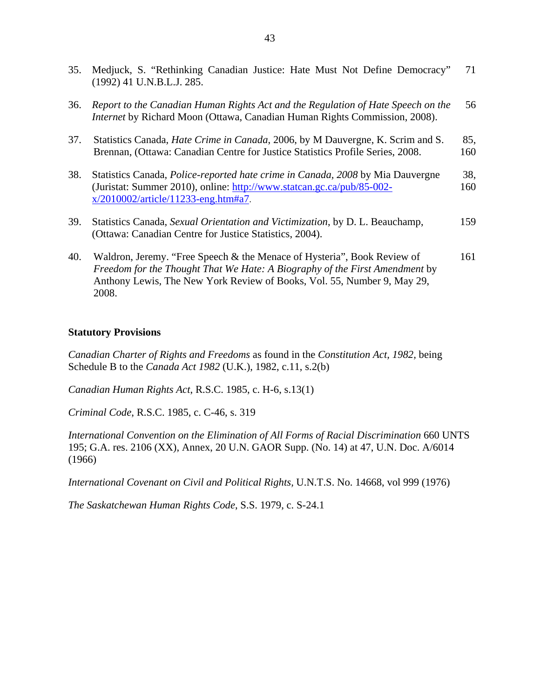| 35. | Medjuck, S. "Rethinking Canadian Justice: Hate Must Not Define Democracy"<br>(1992) 41 U.N.B.L.J. 285.                                                                                                                            | 71         |
|-----|-----------------------------------------------------------------------------------------------------------------------------------------------------------------------------------------------------------------------------------|------------|
| 36. | Report to the Canadian Human Rights Act and the Regulation of Hate Speech on the<br><i>Internet</i> by Richard Moon (Ottawa, Canadian Human Rights Commission, 2008).                                                             | 56         |
| 37. | Statistics Canada, <i>Hate Crime in Canada</i> , 2006, by M Dauvergne, K. Scrim and S.<br>Brennan, (Ottawa: Canadian Centre for Justice Statistics Profile Series, 2008.                                                          | 85,<br>160 |
| 38. | Statistics Canada, Police-reported hate crime in Canada, 2008 by Mia Dauvergne<br>(Juristat: Summer 2010), online: http://www.statcan.gc.ca/pub/85-002-<br>$x/2010002/article/11233-eng.htm#a7$ .                                 | 38,<br>160 |
| 39. | Statistics Canada, Sexual Orientation and Victimization, by D. L. Beauchamp,<br>(Ottawa: Canadian Centre for Justice Statistics, 2004).                                                                                           | 159        |
| 40. | Waldron, Jeremy. "Free Speech & the Menace of Hysteria", Book Review of<br>Freedom for the Thought That We Hate: A Biography of the First Amendment by<br>Anthony Lewis, The New York Review of Books, Vol. 55, Number 9, May 29, | 161        |

## **Statutory Provisions**

2008.

*Canadian Charter of Rights and Freedoms* as found in the *Constitution Act, 1982,* being Schedule B to the *Canada Act 1982* (U.K.), 1982, c.11, s.2(b)

*Canadian Human Rights Act*, R.S.C. 1985, c. H-6, s.13(1)

*Criminal Code*, R.S.C. 1985, c. C-46, s. 319

*International Convention on the Elimination of All Forms of Racial Discrimination* 660 UNTS 195; G.A. res. 2106 (XX), Annex, 20 U.N. GAOR Supp. (No. 14) at 47, U.N. Doc. A/6014 (1966)

*International Covenant on Civil and Political Rights,* U.N.T.S. No. 14668, vol 999 (1976)

*The Saskatchewan Human Rights Code*, S.S. 1979, c. S-24.1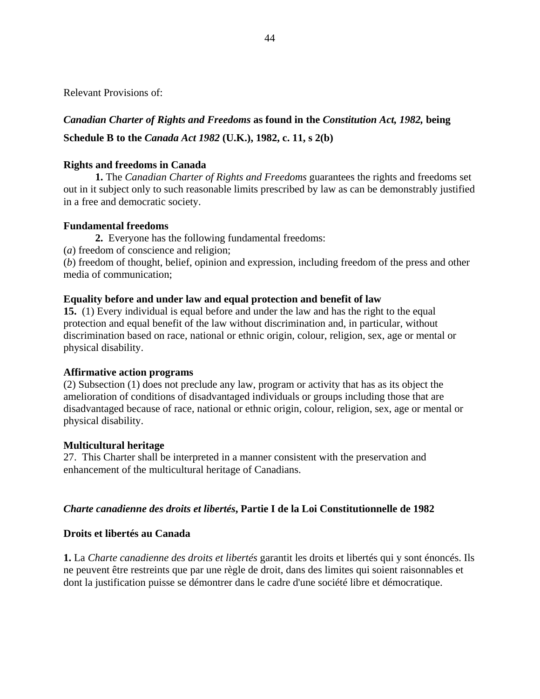Relevant Provisions of:

# *Canadian Charter of Rights and Freedoms* **as found in the** *Constitution Act, 1982,* **being Schedule B to the** *Canada Act 1982* **(U.K.), 1982, c. 11, s 2(b)**

### **Rights and freedoms in Canada**

**1.** The *Canadian Charter of Rights and Freedoms* guarantees the rights and freedoms set out in it subject only to such reasonable limits prescribed by law as can be demonstrably justified in a free and democratic society.

## **Fundamental freedoms**

**2.** Everyone has the following fundamental freedoms:

(*a*) freedom of conscience and religion;

(*b*) freedom of thought, belief, opinion and expression, including freedom of the press and other media of communication;

## **Equality before and under law and equal protection and benefit of law**

**15.** (1) Every individual is equal before and under the law and has the right to the equal protection and equal benefit of the law without discrimination and, in particular, without discrimination based on race, national or ethnic origin, colour, religion, sex, age or mental or physical disability.

### **Affirmative action programs**

(2) Subsection (1) does not preclude any law, program or activity that has as its object the amelioration of conditions of disadvantaged individuals or groups including those that are disadvantaged because of race, national or ethnic origin, colour, religion, sex, age or mental or physical disability.

### **Multicultural heritage**

27. This Charter shall be interpreted in a manner consistent with the preservation and enhancement of the multicultural heritage of Canadians.

# *Charte canadienne des droits et libertés***, Partie I de la Loi Constitutionnelle de 1982**

# **Droits et libertés au Canada**

**1.** La *Charte canadienne des droits et libertés* garantit les droits et libertés qui y sont énoncés. Ils ne peuvent être restreints que par une règle de droit, dans des limites qui soient raisonnables et dont la justification puisse se démontrer dans le cadre d'une société libre et démocratique.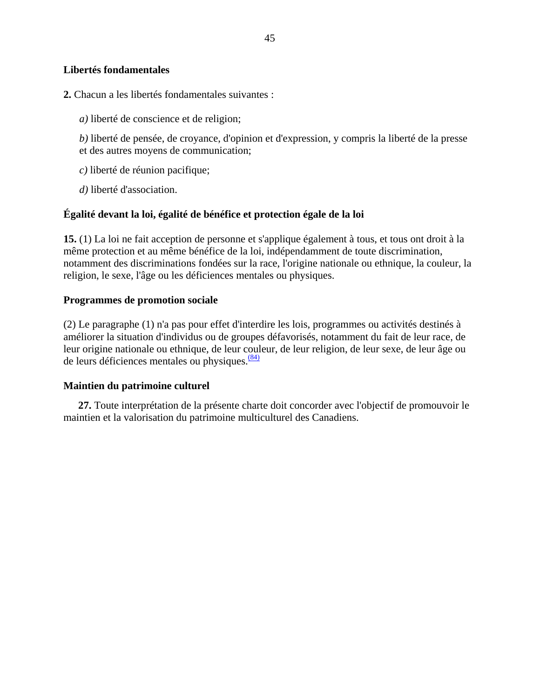#### **Libertés fondamentales**

- **2.** Chacun a les libertés fondamentales suivantes :
	- *a)* liberté de conscience et de religion;
	- *b)* liberté de pensée, de croyance, d'opinion et d'expression, y compris la liberté de la presse et des autres moyens de communication;
	- *c)* liberté de réunion pacifique;
	- *d)* liberté d'association.

# **Égalité devant la loi, égalité de bénéfice et protection égale de la loi**

**15.** (1) La loi ne fait acception de personne et s'applique également à tous, et tous ont droit à la même protection et au même bénéfice de la loi, indépendamment de toute discrimination, notamment des discriminations fondées sur la race, l'origine nationale ou ethnique, la couleur, la religion, le sexe, l'âge ou les déficiences mentales ou physiques.

# **Programmes de promotion sociale**

(2) Le paragraphe (1) n'a pas pour effet d'interdire les lois, programmes ou activités destinés à améliorer la situation d'individus ou de groupes défavorisés, notamment du fait de leur race, de leur origine nationale ou ethnique, de leur cou[le](http://lois-laws.justice.gc.ca/fra/Charte/page-1.html#84#84)ur, de leur religion, de leur sexe, de leur âge ou de leurs déficiences mentales ou physiques.  $\frac{(84)}{64}$ 

# **Maintien du patrimoine culturel**

**27.** Toute interprétation de la présente charte doit concorder avec l'objectif de promouvoir le maintien et la valorisation du patrimoine multiculturel des Canadiens.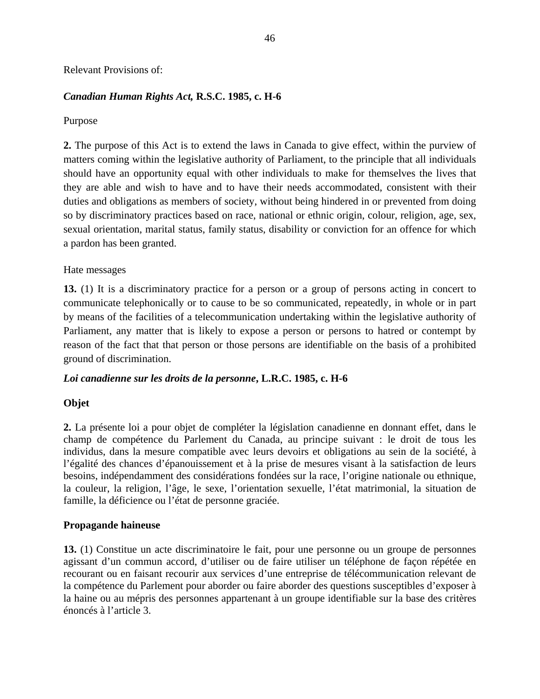#### Relevant Provisions of:

### *Canadian Human Rights Act,* **R.S.C. 1985, c. H-6**

#### Purpose

**2.** The purpose of this Act is to extend the laws in Canada to give effect, within the purview of matters coming within the legislative authority of Parliament, to the principle that all individuals should have an opportunity equal with other individuals to make for themselves the lives that they are able and wish to have and to have their needs accommodated, consistent with their duties and obligations as members of society, without being hindered in or prevented from doing so by discriminatory practices based on race, national or ethnic origin, colour, religion, age, sex, sexual orientation, marital status, family status, disability or conviction for an offence for which a pardon has been granted.

#### Hate messages

**13.** (1) It is a discriminatory practice for a person or a group of persons acting in concert to communicate telephonically or to cause to be so communicated, repeatedly, in whole or in part by means of the facilities of a telecommunication undertaking within the legislative authority of Parliament, any matter that is likely to expose a person or persons to hatred or contempt by reason of the fact that that person or those persons are identifiable on the basis of a prohibited ground of discrimination.

### *Loi canadienne sur les droits de la personne***, L.R.C. 1985, c. H-6**

### **Objet**

**2.** La présente loi a pour objet de compléter la législation canadienne en donnant effet, dans le champ de compétence du Parlement du Canada, au principe suivant : le droit de tous les individus, dans la mesure compatible avec leurs devoirs et obligations au sein de la société, à l'égalité des chances d'épanouissement et à la prise de mesures visant à la satisfaction de leurs besoins, indépendamment des considérations fondées sur la race, l'origine nationale ou ethnique, la couleur, la religion, l'âge, le sexe, l'orientation sexuelle, l'état matrimonial, la situation de famille, la déficience ou l'état de personne graciée.

#### **Propagande haineuse**

**13.** (1) Constitue un acte discriminatoire le fait, pour une personne ou un groupe de personnes agissant d'un commun accord, d'utiliser ou de faire utiliser un téléphone de façon répétée en recourant ou en faisant recourir aux services d'une entreprise de télécommunication relevant de la compétence du Parlement pour aborder ou faire aborder des questions susceptibles d'exposer à la haine ou au mépris des personnes appartenant à un groupe identifiable sur la base des critères énoncés à l'article 3.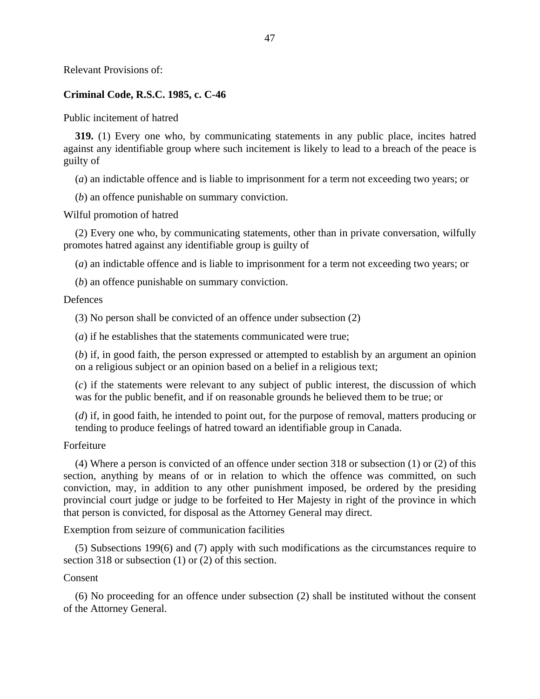Relevant Provisions of:

#### **Criminal Code, R.S.C. 1985, c. C-46**

Public incitement of hatred

**319.** (1) Every one who, by communicating statements in any public place, incites hatred against any identifiable group where such incitement is likely to lead to a breach of the peace is guilty of

(*a*) an indictable offence and is liable to imprisonment for a term not exceeding two years; or

(*b*) an offence punishable on summary conviction.

Wilful promotion of hatred

(2) Every one who, by communicating statements, other than in private conversation, wilfully promotes hatred against any identifiable group is guilty of

(*a*) an indictable offence and is liable to imprisonment for a term not exceeding two years; or

(*b*) an offence punishable on summary conviction.

#### Defences

(3) No person shall be convicted of an offence under subsection (2)

(*a*) if he establishes that the statements communicated were true;

(*b*) if, in good faith, the person expressed or attempted to establish by an argument an opinion on a religious subject or an opinion based on a belief in a religious text;

(*c*) if the statements were relevant to any subject of public interest, the discussion of which was for the public benefit, and if on reasonable grounds he believed them to be true; or

(*d*) if, in good faith, he intended to point out, for the purpose of removal, matters producing or tending to produce feelings of hatred toward an identifiable group in Canada.

#### Forfeiture

(4) Where a person is convicted of an offence under section 318 or subsection (1) or (2) of this section, anything by means of or in relation to which the offence was committed, on such conviction, may, in addition to any other punishment imposed, be ordered by the presiding provincial court judge or judge to be forfeited to Her Majesty in right of the province in which that person is convicted, for disposal as the Attorney General may direct.

Exemption from seizure of communication facilities

(5) Subsections 199(6) and (7) apply with such modifications as the circumstances require to section 318 or subsection (1) or (2) of this section.

#### Consent

(6) No proceeding for an offence under subsection (2) shall be instituted without the consent of the Attorney General.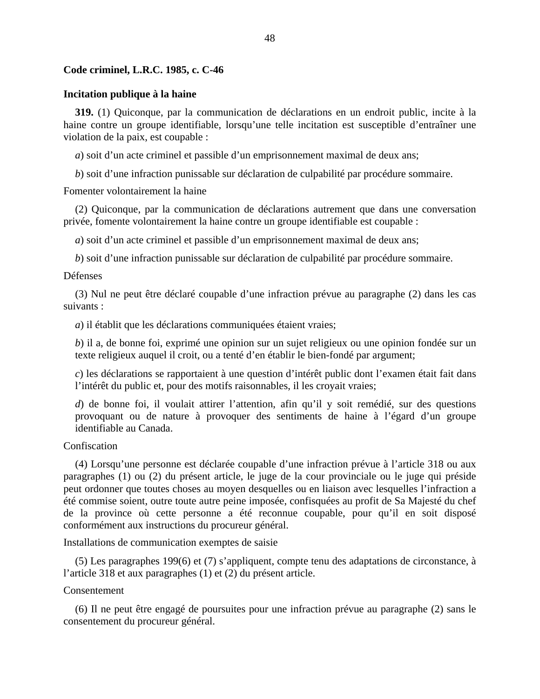#### **Code criminel, L.R.C. 1985, c. C-46**

#### **Incitation publique à la haine**

**319.** (1) Quiconque, par la communication de déclarations en un endroit public, incite à la haine contre un groupe identifiable, lorsqu'une telle incitation est susceptible d'entraîner une violation de la paix, est coupable :

*a*) soit d'un acte criminel et passible d'un emprisonnement maximal de deux ans;

*b*) soit d'une infraction punissable sur déclaration de culpabilité par procédure sommaire.

Fomenter volontairement la haine

(2) Quiconque, par la communication de déclarations autrement que dans une conversation privée, fomente volontairement la haine contre un groupe identifiable est coupable :

*a*) soit d'un acte criminel et passible d'un emprisonnement maximal de deux ans;

*b*) soit d'une infraction punissable sur déclaration de culpabilité par procédure sommaire.

#### Défenses

(3) Nul ne peut être déclaré coupable d'une infraction prévue au paragraphe (2) dans les cas suivants :

*a*) il établit que les déclarations communiquées étaient vraies;

*b*) il a, de bonne foi, exprimé une opinion sur un sujet religieux ou une opinion fondée sur un texte religieux auquel il croit, ou a tenté d'en établir le bien-fondé par argument;

*c*) les déclarations se rapportaient à une question d'intérêt public dont l'examen était fait dans l'intérêt du public et, pour des motifs raisonnables, il les croyait vraies;

*d*) de bonne foi, il voulait attirer l'attention, afin qu'il y soit remédié, sur des questions provoquant ou de nature à provoquer des sentiments de haine à l'égard d'un groupe identifiable au Canada.

#### **Confiscation**

(4) Lorsqu'une personne est déclarée coupable d'une infraction prévue à l'article 318 ou aux paragraphes (1) ou (2) du présent article, le juge de la cour provinciale ou le juge qui préside peut ordonner que toutes choses au moyen desquelles ou en liaison avec lesquelles l'infraction a été commise soient, outre toute autre peine imposée, confisquées au profit de Sa Majesté du chef de la province où cette personne a été reconnue coupable, pour qu'il en soit disposé conformément aux instructions du procureur général.

Installations de communication exemptes de saisie

(5) Les paragraphes 199(6) et (7) s'appliquent, compte tenu des adaptations de circonstance, à l'article 318 et aux paragraphes (1) et (2) du présent article.

#### Consentement

(6) Il ne peut être engagé de poursuites pour une infraction prévue au paragraphe (2) sans le consentement du procureur général.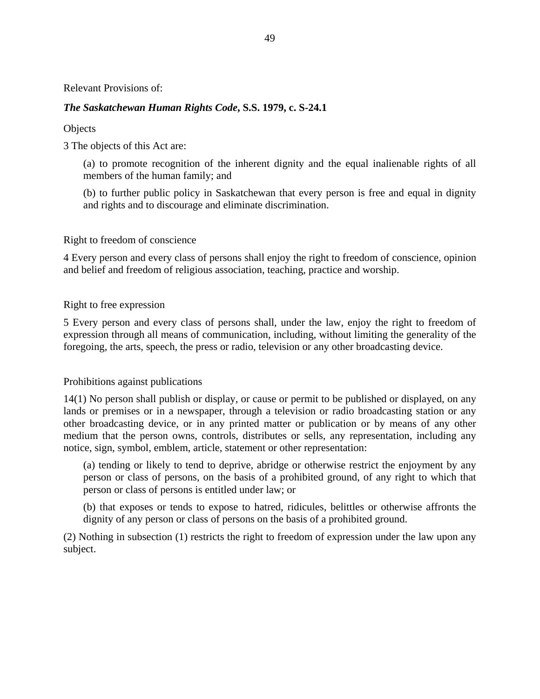Relevant Provisions of:

## *The Saskatchewan Human Rights Code***, S.S. 1979, c. S-24.1**

**Objects** 

3 The objects of this Act are:

(a) to promote recognition of the inherent dignity and the equal inalienable rights of all members of the human family; and

(b) to further public policy in Saskatchewan that every person is free and equal in dignity and rights and to discourage and eliminate discrimination.

#### Right to freedom of conscience

4 Every person and every class of persons shall enjoy the right to freedom of conscience, opinion and belief and freedom of religious association, teaching, practice and worship.

#### Right to free expression

5 Every person and every class of persons shall, under the law, enjoy the right to freedom of expression through all means of communication, including, without limiting the generality of the foregoing, the arts, speech, the press or radio, television or any other broadcasting device.

#### Prohibitions against publications

14(1) No person shall publish or display, or cause or permit to be published or displayed, on any lands or premises or in a newspaper, through a television or radio broadcasting station or any other broadcasting device, or in any printed matter or publication or by means of any other medium that the person owns, controls, distributes or sells, any representation, including any notice, sign, symbol, emblem, article, statement or other representation:

(a) tending or likely to tend to deprive, abridge or otherwise restrict the enjoyment by any person or class of persons, on the basis of a prohibited ground, of any right to which that person or class of persons is entitled under law; or

(b) that exposes or tends to expose to hatred, ridicules, belittles or otherwise affronts the dignity of any person or class of persons on the basis of a prohibited ground.

(2) Nothing in subsection (1) restricts the right to freedom of expression under the law upon any subject.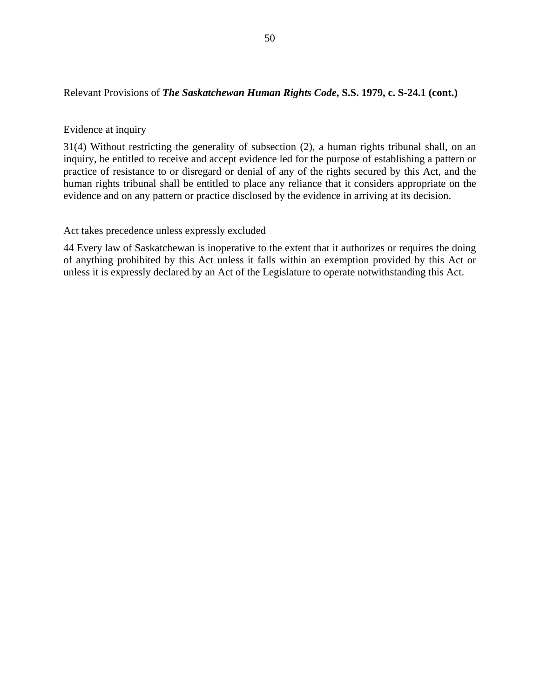### Relevant Provisions of *The Saskatchewan Human Rights Code***, S.S. 1979, c. S-24.1 (cont.)**

#### Evidence at inquiry

31(4) Without restricting the generality of subsection (2), a human rights tribunal shall, on an inquiry, be entitled to receive and accept evidence led for the purpose of establishing a pattern or practice of resistance to or disregard or denial of any of the rights secured by this Act, and the human rights tribunal shall be entitled to place any reliance that it considers appropriate on the evidence and on any pattern or practice disclosed by the evidence in arriving at its decision.

#### Act takes precedence unless expressly excluded

44 Every law of Saskatchewan is inoperative to the extent that it authorizes or requires the doing of anything prohibited by this Act unless it falls within an exemption provided by this Act or unless it is expressly declared by an Act of the Legislature to operate notwithstanding this Act.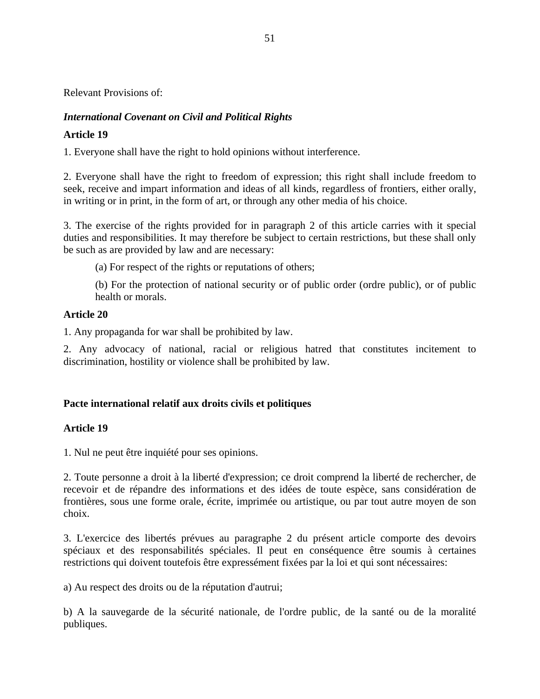Relevant Provisions of:

# *International Covenant on Civil and Political Rights*

## **Article 19**

1. Everyone shall have the right to hold opinions without interference.

2. Everyone shall have the right to freedom of expression; this right shall include freedom to seek, receive and impart information and ideas of all kinds, regardless of frontiers, either orally, in writing or in print, in the form of art, or through any other media of his choice.

3. The exercise of the rights provided for in paragraph 2 of this article carries with it special duties and responsibilities. It may therefore be subject to certain restrictions, but these shall only be such as are provided by law and are necessary:

(a) For respect of the rights or reputations of others;

(b) For the protection of national security or of public order (ordre public), or of public health or morals.

### **Article 20**

1. Any propaganda for war shall be prohibited by law.

2. Any advocacy of national, racial or religious hatred that constitutes incitement to discrimination, hostility or violence shall be prohibited by law.

# **Pacte international relatif aux droits civils et politiques**

### **Article 19**

1. Nul ne peut être inquiété pour ses opinions.

2. Toute personne a droit à la liberté d'expression; ce droit comprend la liberté de rechercher, de recevoir et de répandre des informations et des idées de toute espèce, sans considération de frontières, sous une forme orale, écrite, imprimée ou artistique, ou par tout autre moyen de son choix.

3. L'exercice des libertés prévues au paragraphe 2 du présent article comporte des devoirs spéciaux et des responsabilités spéciales. Il peut en conséquence être soumis à certaines restrictions qui doivent toutefois être expressément fixées par la loi et qui sont nécessaires:

a) Au respect des droits ou de la réputation d'autrui;

b) A la sauvegarde de la sécurité nationale, de l'ordre public, de la santé ou de la moralité publiques.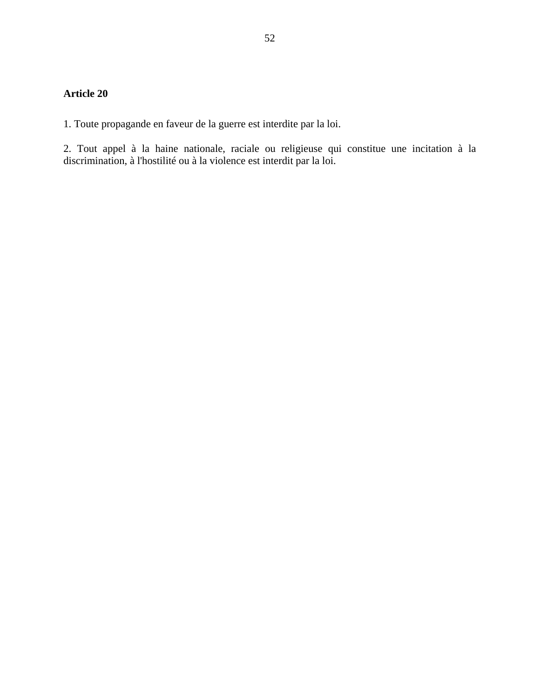# **Article 20**

1. Toute propagande en faveur de la guerre est interdite par la loi.

2. Tout appel à la haine nationale, raciale ou religieuse qui constitue une incitation à la discrimination, à l'hostilité ou à la violence est interdit par la loi.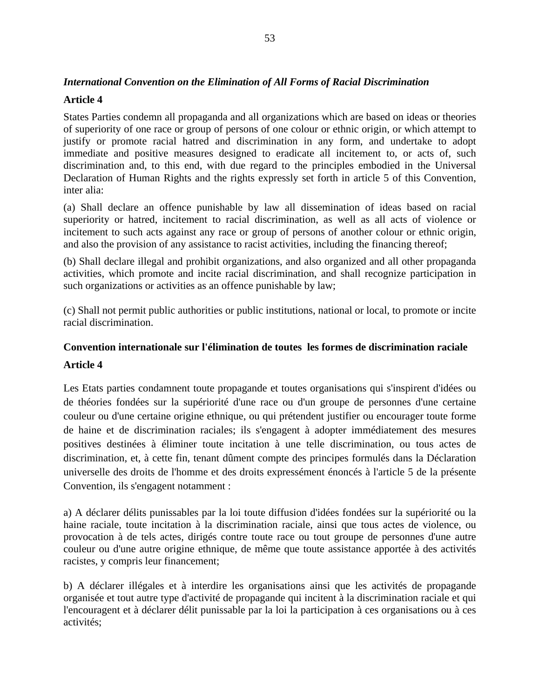# *International Convention on the Elimination of All Forms of Racial Discrimination*

# **Article 4**

States Parties condemn all propaganda and all organizations which are based on ideas or theories of superiority of one race or group of persons of one colour or ethnic origin, or which attempt to justify or promote racial hatred and discrimination in any form, and undertake to adopt immediate and positive measures designed to eradicate all incitement to, or acts of, such discrimination and, to this end, with due regard to the principles embodied in the Universal Declaration of Human Rights and the rights expressly set forth in article 5 of this Convention, inter alia:

(a) Shall declare an offence punishable by law all dissemination of ideas based on racial superiority or hatred, incitement to racial discrimination, as well as all acts of violence or incitement to such acts against any race or group of persons of another colour or ethnic origin, and also the provision of any assistance to racist activities, including the financing thereof;

(b) Shall declare illegal and prohibit organizations, and also organized and all other propaganda activities, which promote and incite racial discrimination, and shall recognize participation in such organizations or activities as an offence punishable by law;

(c) Shall not permit public authorities or public institutions, national or local, to promote or incite racial discrimination.

# **Convention internationale sur l'élimination de toutes les formes de discrimination raciale Article 4**

Les Etats parties condamnent toute propagande et toutes organisations qui s'inspirent d'idées ou de théories fondées sur la supériorité d'une race ou d'un groupe de personnes d'une certaine couleur ou d'une certaine origine ethnique, ou qui prétendent justifier ou encourager toute forme de haine et de discrimination raciales; ils s'engagent à adopter immédiatement des mesures positives destinées à éliminer toute incitation à une telle discrimination, ou tous actes de discrimination, et, à cette fin, tenant dûment compte des principes formulés dans la Déclaration universelle des droits de l'homme et des droits expressément énoncés à l'article 5 de la présente Convention, ils s'engagent notamment :

a) A déclarer délits punissables par la loi toute diffusion d'idées fondées sur la supériorité ou la haine raciale, toute incitation à la discrimination raciale, ainsi que tous actes de violence, ou provocation à de tels actes, dirigés contre toute race ou tout groupe de personnes d'une autre couleur ou d'une autre origine ethnique, de même que toute assistance apportée à des activités racistes, y compris leur financement;

b) A déclarer illégales et à interdire les organisations ainsi que les activités de propagande organisée et tout autre type d'activité de propagande qui incitent à la discrimination raciale et qui l'encouragent et à déclarer délit punissable par la loi la participation à ces organisations ou à ces activités;